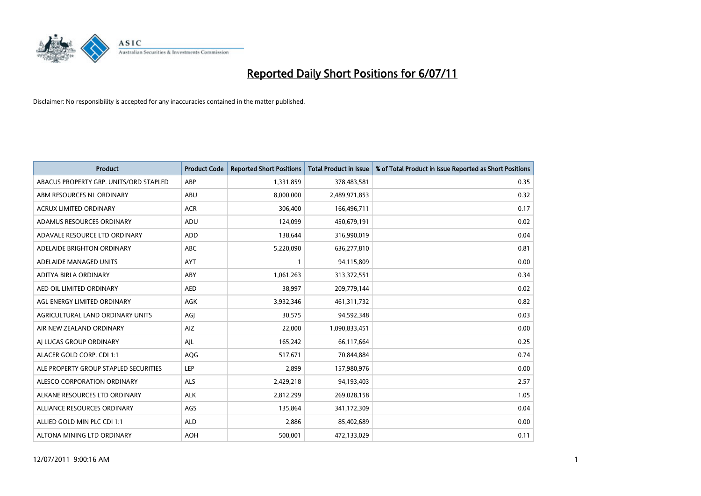

| <b>Product</b>                         | <b>Product Code</b> | <b>Reported Short Positions</b> | <b>Total Product in Issue</b> | % of Total Product in Issue Reported as Short Positions |
|----------------------------------------|---------------------|---------------------------------|-------------------------------|---------------------------------------------------------|
| ABACUS PROPERTY GRP. UNITS/ORD STAPLED | ABP                 | 1,331,859                       | 378,483,581                   | 0.35                                                    |
| ABM RESOURCES NL ORDINARY              | ABU                 | 8,000,000                       | 2,489,971,853                 | 0.32                                                    |
| <b>ACRUX LIMITED ORDINARY</b>          | <b>ACR</b>          | 306,400                         | 166,496,711                   | 0.17                                                    |
| ADAMUS RESOURCES ORDINARY              | ADU                 | 124,099                         | 450,679,191                   | 0.02                                                    |
| ADAVALE RESOURCE LTD ORDINARY          | <b>ADD</b>          | 138,644                         | 316,990,019                   | 0.04                                                    |
| ADELAIDE BRIGHTON ORDINARY             | <b>ABC</b>          | 5,220,090                       | 636,277,810                   | 0.81                                                    |
| ADELAIDE MANAGED UNITS                 | <b>AYT</b>          |                                 | 94,115,809                    | 0.00                                                    |
| ADITYA BIRLA ORDINARY                  | ABY                 | 1,061,263                       | 313,372,551                   | 0.34                                                    |
| AED OIL LIMITED ORDINARY               | <b>AED</b>          | 38,997                          | 209,779,144                   | 0.02                                                    |
| AGL ENERGY LIMITED ORDINARY            | <b>AGK</b>          | 3,932,346                       | 461,311,732                   | 0.82                                                    |
| AGRICULTURAL LAND ORDINARY UNITS       | AGJ                 | 30,575                          | 94,592,348                    | 0.03                                                    |
| AIR NEW ZEALAND ORDINARY               | AIZ                 | 22,000                          | 1,090,833,451                 | 0.00                                                    |
| AI LUCAS GROUP ORDINARY                | AJL                 | 165,242                         | 66,117,664                    | 0.25                                                    |
| ALACER GOLD CORP. CDI 1:1              | AQG                 | 517,671                         | 70,844,884                    | 0.74                                                    |
| ALE PROPERTY GROUP STAPLED SECURITIES  | LEP                 | 2,899                           | 157,980,976                   | 0.00                                                    |
| ALESCO CORPORATION ORDINARY            | ALS                 | 2,429,218                       | 94,193,403                    | 2.57                                                    |
| ALKANE RESOURCES LTD ORDINARY          | <b>ALK</b>          | 2,812,299                       | 269,028,158                   | 1.05                                                    |
| ALLIANCE RESOURCES ORDINARY            | AGS                 | 135,864                         | 341,172,309                   | 0.04                                                    |
| ALLIED GOLD MIN PLC CDI 1:1            | <b>ALD</b>          | 2,886                           | 85,402,689                    | 0.00                                                    |
| ALTONA MINING LTD ORDINARY             | <b>AOH</b>          | 500.001                         | 472,133,029                   | 0.11                                                    |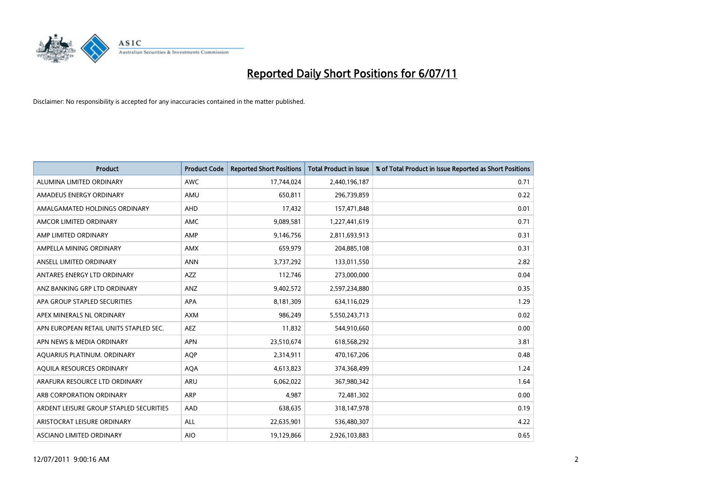

| <b>Product</b>                          | <b>Product Code</b> | <b>Reported Short Positions</b> | Total Product in Issue | % of Total Product in Issue Reported as Short Positions |
|-----------------------------------------|---------------------|---------------------------------|------------------------|---------------------------------------------------------|
| ALUMINA LIMITED ORDINARY                | <b>AWC</b>          | 17,744,024                      | 2,440,196,187          | 0.71                                                    |
| AMADEUS ENERGY ORDINARY                 | AMU                 | 650,811                         | 296,739,859            | 0.22                                                    |
| AMALGAMATED HOLDINGS ORDINARY           | AHD                 | 17,432                          | 157,471,848            | 0.01                                                    |
| AMCOR LIMITED ORDINARY                  | <b>AMC</b>          | 9,089,581                       | 1,227,441,619          | 0.71                                                    |
| AMP LIMITED ORDINARY                    | AMP                 | 9,146,756                       | 2,811,693,913          | 0.31                                                    |
| AMPELLA MINING ORDINARY                 | <b>AMX</b>          | 659,979                         | 204,885,108            | 0.31                                                    |
| ANSELL LIMITED ORDINARY                 | <b>ANN</b>          | 3,737,292                       | 133,011,550            | 2.82                                                    |
| ANTARES ENERGY LTD ORDINARY             | <b>AZZ</b>          | 112,746                         | 273,000,000            | 0.04                                                    |
| ANZ BANKING GRP LTD ORDINARY            | <b>ANZ</b>          | 9,402,572                       | 2,597,234,880          | 0.35                                                    |
| APA GROUP STAPLED SECURITIES            | <b>APA</b>          | 8,181,309                       | 634,116,029            | 1.29                                                    |
| APEX MINERALS NL ORDINARY               | <b>AXM</b>          | 986,249                         | 5,550,243,713          | 0.02                                                    |
| APN EUROPEAN RETAIL UNITS STAPLED SEC.  | <b>AEZ</b>          | 11,832                          | 544,910,660            | 0.00                                                    |
| APN NEWS & MEDIA ORDINARY               | <b>APN</b>          | 23,510,674                      | 618,568,292            | 3.81                                                    |
| AQUARIUS PLATINUM. ORDINARY             | <b>AOP</b>          | 2,314,911                       | 470,167,206            | 0.48                                                    |
| AQUILA RESOURCES ORDINARY               | <b>AQA</b>          | 4,613,823                       | 374,368,499            | 1.24                                                    |
| ARAFURA RESOURCE LTD ORDINARY           | <b>ARU</b>          | 6,062,022                       | 367,980,342            | 1.64                                                    |
| ARB CORPORATION ORDINARY                | ARP                 | 4,987                           | 72,481,302             | 0.00                                                    |
| ARDENT LEISURE GROUP STAPLED SECURITIES | AAD                 | 638,635                         | 318,147,978            | 0.19                                                    |
| ARISTOCRAT LEISURE ORDINARY             | ALL                 | 22,635,901                      | 536,480,307            | 4.22                                                    |
| ASCIANO LIMITED ORDINARY                | <b>AIO</b>          | 19,129,866                      | 2,926,103,883          | 0.65                                                    |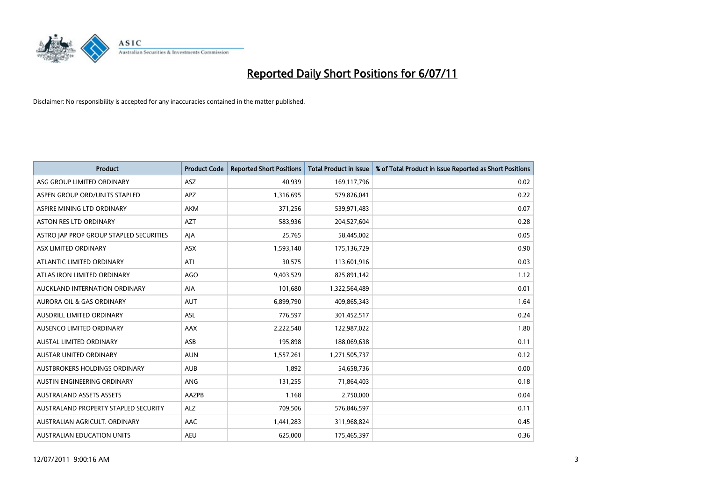

| <b>Product</b>                          | <b>Product Code</b> | <b>Reported Short Positions</b> | <b>Total Product in Issue</b> | % of Total Product in Issue Reported as Short Positions |
|-----------------------------------------|---------------------|---------------------------------|-------------------------------|---------------------------------------------------------|
| ASG GROUP LIMITED ORDINARY              | <b>ASZ</b>          | 40,939                          | 169,117,796                   | 0.02                                                    |
| ASPEN GROUP ORD/UNITS STAPLED           | APZ                 | 1,316,695                       | 579,826,041                   | 0.22                                                    |
| ASPIRE MINING LTD ORDINARY              | <b>AKM</b>          | 371,256                         | 539,971,483                   | 0.07                                                    |
| ASTON RES LTD ORDINARY                  | <b>AZT</b>          | 583,936                         | 204,527,604                   | 0.28                                                    |
| ASTRO JAP PROP GROUP STAPLED SECURITIES | AJA                 | 25,765                          | 58,445,002                    | 0.05                                                    |
| ASX LIMITED ORDINARY                    | ASX                 | 1,593,140                       | 175,136,729                   | 0.90                                                    |
| ATLANTIC LIMITED ORDINARY               | ATI                 | 30,575                          | 113,601,916                   | 0.03                                                    |
| ATLAS IRON LIMITED ORDINARY             | AGO                 | 9,403,529                       | 825,891,142                   | 1.12                                                    |
| AUCKLAND INTERNATION ORDINARY           | AIA                 | 101,680                         | 1,322,564,489                 | 0.01                                                    |
| <b>AURORA OIL &amp; GAS ORDINARY</b>    | <b>AUT</b>          | 6,899,790                       | 409,865,343                   | 1.64                                                    |
| AUSDRILL LIMITED ORDINARY               | <b>ASL</b>          | 776,597                         | 301,452,517                   | 0.24                                                    |
| AUSENCO LIMITED ORDINARY                | <b>AAX</b>          | 2,222,540                       | 122,987,022                   | 1.80                                                    |
| <b>AUSTAL LIMITED ORDINARY</b>          | ASB                 | 195,898                         | 188,069,638                   | 0.11                                                    |
| <b>AUSTAR UNITED ORDINARY</b>           | <b>AUN</b>          | 1,557,261                       | 1,271,505,737                 | 0.12                                                    |
| AUSTBROKERS HOLDINGS ORDINARY           | <b>AUB</b>          | 1,892                           | 54,658,736                    | 0.00                                                    |
| AUSTIN ENGINEERING ORDINARY             | ANG                 | 131,255                         | 71,864,403                    | 0.18                                                    |
| <b>AUSTRALAND ASSETS ASSETS</b>         | AAZPB               | 1,168                           | 2,750,000                     | 0.04                                                    |
| AUSTRALAND PROPERTY STAPLED SECURITY    | <b>ALZ</b>          | 709,506                         | 576,846,597                   | 0.11                                                    |
| AUSTRALIAN AGRICULT, ORDINARY           | <b>AAC</b>          | 1,441,283                       | 311,968,824                   | 0.45                                                    |
| AUSTRALIAN EDUCATION UNITS              | <b>AEU</b>          | 625.000                         | 175,465,397                   | 0.36                                                    |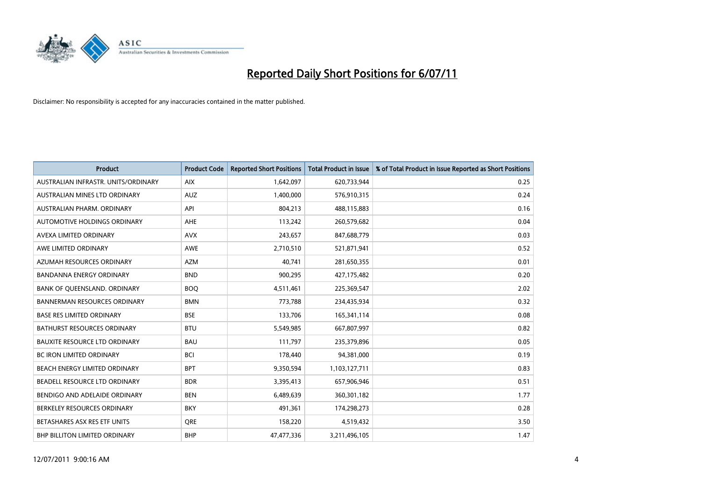

| <b>Product</b>                       | <b>Product Code</b> | <b>Reported Short Positions</b> | Total Product in Issue | % of Total Product in Issue Reported as Short Positions |
|--------------------------------------|---------------------|---------------------------------|------------------------|---------------------------------------------------------|
| AUSTRALIAN INFRASTR, UNITS/ORDINARY  | <b>AIX</b>          | 1,642,097                       | 620,733,944            | 0.25                                                    |
| AUSTRALIAN MINES LTD ORDINARY        | <b>AUZ</b>          | 1,400,000                       | 576,910,315            | 0.24                                                    |
| AUSTRALIAN PHARM, ORDINARY           | API                 | 804,213                         | 488,115,883            | 0.16                                                    |
| AUTOMOTIVE HOLDINGS ORDINARY         | <b>AHE</b>          | 113,242                         | 260,579,682            | 0.04                                                    |
| AVEXA LIMITED ORDINARY               | <b>AVX</b>          | 243,657                         | 847,688,779            | 0.03                                                    |
| AWE LIMITED ORDINARY                 | AWE                 | 2,710,510                       | 521,871,941            | 0.52                                                    |
| AZUMAH RESOURCES ORDINARY            | <b>AZM</b>          | 40.741                          | 281,650,355            | 0.01                                                    |
| <b>BANDANNA ENERGY ORDINARY</b>      | <b>BND</b>          | 900,295                         | 427,175,482            | 0.20                                                    |
| BANK OF QUEENSLAND. ORDINARY         | <b>BOO</b>          | 4,511,461                       | 225,369,547            | 2.02                                                    |
| <b>BANNERMAN RESOURCES ORDINARY</b>  | <b>BMN</b>          | 773,788                         | 234,435,934            | 0.32                                                    |
| <b>BASE RES LIMITED ORDINARY</b>     | <b>BSE</b>          | 133,706                         | 165,341,114            | 0.08                                                    |
| <b>BATHURST RESOURCES ORDINARY</b>   | <b>BTU</b>          | 5,549,985                       | 667,807,997            | 0.82                                                    |
| <b>BAUXITE RESOURCE LTD ORDINARY</b> | <b>BAU</b>          | 111,797                         | 235,379,896            | 0.05                                                    |
| <b>BC IRON LIMITED ORDINARY</b>      | <b>BCI</b>          | 178,440                         | 94,381,000             | 0.19                                                    |
| BEACH ENERGY LIMITED ORDINARY        | <b>BPT</b>          | 9,350,594                       | 1,103,127,711          | 0.83                                                    |
| BEADELL RESOURCE LTD ORDINARY        | <b>BDR</b>          | 3,395,413                       | 657,906,946            | 0.51                                                    |
| BENDIGO AND ADELAIDE ORDINARY        | <b>BEN</b>          | 6,489,639                       | 360,301,182            | 1.77                                                    |
| BERKELEY RESOURCES ORDINARY          | <b>BKY</b>          | 491,361                         | 174,298,273            | 0.28                                                    |
| BETASHARES ASX RES ETF UNITS         | <b>ORE</b>          | 158,220                         | 4,519,432              | 3.50                                                    |
| <b>BHP BILLITON LIMITED ORDINARY</b> | <b>BHP</b>          | 47,477,336                      | 3,211,496,105          | 1.47                                                    |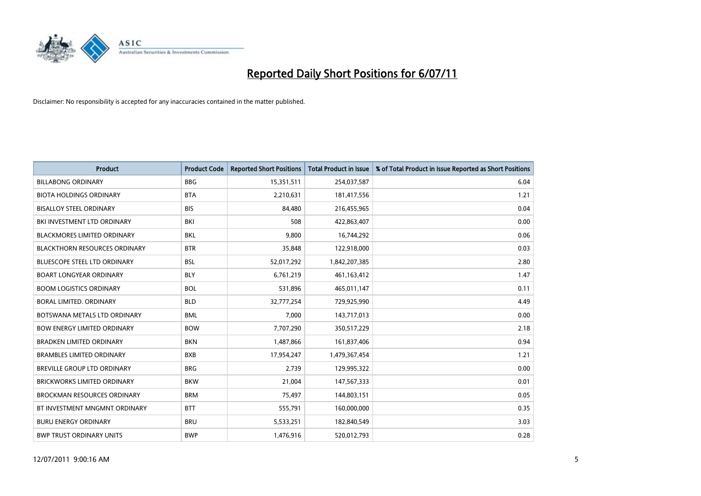

| <b>Product</b>                       | <b>Product Code</b> | <b>Reported Short Positions</b> | <b>Total Product in Issue</b> | % of Total Product in Issue Reported as Short Positions |
|--------------------------------------|---------------------|---------------------------------|-------------------------------|---------------------------------------------------------|
| <b>BILLABONG ORDINARY</b>            | <b>BBG</b>          | 15,351,511                      | 254,037,587                   | 6.04                                                    |
| <b>BIOTA HOLDINGS ORDINARY</b>       | <b>BTA</b>          | 2,210,631                       | 181,417,556                   | 1.21                                                    |
| <b>BISALLOY STEEL ORDINARY</b>       | <b>BIS</b>          | 84,480                          | 216,455,965                   | 0.04                                                    |
| BKI INVESTMENT LTD ORDINARY          | BKI                 | 508                             | 422,863,407                   | 0.00                                                    |
| <b>BLACKMORES LIMITED ORDINARY</b>   | <b>BKL</b>          | 9,800                           | 16,744,292                    | 0.06                                                    |
| <b>BLACKTHORN RESOURCES ORDINARY</b> | <b>BTR</b>          | 35,848                          | 122,918,000                   | 0.03                                                    |
| <b>BLUESCOPE STEEL LTD ORDINARY</b>  | <b>BSL</b>          | 52,017,292                      | 1,842,207,385                 | 2.80                                                    |
| <b>BOART LONGYEAR ORDINARY</b>       | <b>BLY</b>          | 6,761,219                       | 461,163,412                   | 1.47                                                    |
| <b>BOOM LOGISTICS ORDINARY</b>       | <b>BOL</b>          | 531,896                         | 465,011,147                   | 0.11                                                    |
| <b>BORAL LIMITED, ORDINARY</b>       | <b>BLD</b>          | 32,777,254                      | 729,925,990                   | 4.49                                                    |
| BOTSWANA METALS LTD ORDINARY         | <b>BML</b>          | 7,000                           | 143,717,013                   | 0.00                                                    |
| <b>BOW ENERGY LIMITED ORDINARY</b>   | <b>BOW</b>          | 7,707,290                       | 350,517,229                   | 2.18                                                    |
| <b>BRADKEN LIMITED ORDINARY</b>      | <b>BKN</b>          | 1,487,866                       | 161,837,406                   | 0.94                                                    |
| <b>BRAMBLES LIMITED ORDINARY</b>     | <b>BXB</b>          | 17,954,247                      | 1,479,367,454                 | 1.21                                                    |
| BREVILLE GROUP LTD ORDINARY          | <b>BRG</b>          | 2,739                           | 129,995,322                   | 0.00                                                    |
| <b>BRICKWORKS LIMITED ORDINARY</b>   | <b>BKW</b>          | 21,004                          | 147,567,333                   | 0.01                                                    |
| <b>BROCKMAN RESOURCES ORDINARY</b>   | <b>BRM</b>          | 75,497                          | 144,803,151                   | 0.05                                                    |
| BT INVESTMENT MNGMNT ORDINARY        | <b>BTT</b>          | 555,791                         | 160,000,000                   | 0.35                                                    |
| <b>BURU ENERGY ORDINARY</b>          | <b>BRU</b>          | 5,533,251                       | 182,840,549                   | 3.03                                                    |
| <b>BWP TRUST ORDINARY UNITS</b>      | <b>BWP</b>          | 1,476,916                       | 520,012,793                   | 0.28                                                    |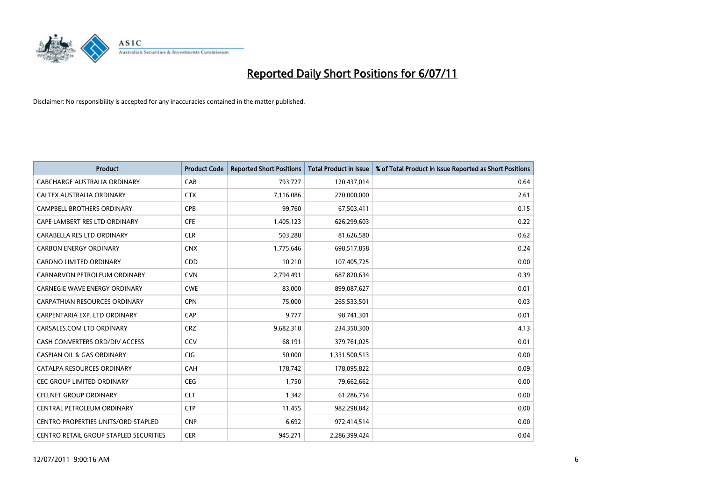

| <b>Product</b>                                | <b>Product Code</b> | <b>Reported Short Positions</b> | <b>Total Product in Issue</b> | % of Total Product in Issue Reported as Short Positions |
|-----------------------------------------------|---------------------|---------------------------------|-------------------------------|---------------------------------------------------------|
| <b>CABCHARGE AUSTRALIA ORDINARY</b>           | CAB                 | 793,727                         | 120,437,014                   | 0.64                                                    |
| CALTEX AUSTRALIA ORDINARY                     | <b>CTX</b>          | 7,116,086                       | 270,000,000                   | 2.61                                                    |
| <b>CAMPBELL BROTHERS ORDINARY</b>             | <b>CPB</b>          | 99,760                          | 67,503,411                    | 0.15                                                    |
| CAPE LAMBERT RES LTD ORDINARY                 | <b>CFE</b>          | 1,405,123                       | 626,299,603                   | 0.22                                                    |
| CARABELLA RES LTD ORDINARY                    | <b>CLR</b>          | 503,288                         | 81,626,580                    | 0.62                                                    |
| <b>CARBON ENERGY ORDINARY</b>                 | <b>CNX</b>          | 1,775,646                       | 698,517,858                   | 0.24                                                    |
| <b>CARDNO LIMITED ORDINARY</b>                | CDD                 | 10,210                          | 107,405,725                   | 0.00                                                    |
| CARNARVON PETROLEUM ORDINARY                  | <b>CVN</b>          | 2,794,491                       | 687,820,634                   | 0.39                                                    |
| CARNEGIE WAVE ENERGY ORDINARY                 | <b>CWE</b>          | 83,000                          | 899,087,627                   | 0.01                                                    |
| <b>CARPATHIAN RESOURCES ORDINARY</b>          | <b>CPN</b>          | 75,000                          | 265,533,501                   | 0.03                                                    |
| CARPENTARIA EXP. LTD ORDINARY                 | CAP                 | 9,777                           | 98,741,301                    | 0.01                                                    |
| CARSALES.COM LTD ORDINARY                     | <b>CRZ</b>          | 9,682,318                       | 234,350,300                   | 4.13                                                    |
| CASH CONVERTERS ORD/DIV ACCESS                | CCV                 | 68,191                          | 379,761,025                   | 0.01                                                    |
| <b>CASPIAN OIL &amp; GAS ORDINARY</b>         | <b>CIG</b>          | 50,000                          | 1,331,500,513                 | 0.00                                                    |
| CATALPA RESOURCES ORDINARY                    | CAH                 | 178,742                         | 178,095,822                   | 0.09                                                    |
| CEC GROUP LIMITED ORDINARY                    | <b>CEG</b>          | 1,750                           | 79,662,662                    | 0.00                                                    |
| <b>CELLNET GROUP ORDINARY</b>                 | <b>CLT</b>          | 1,342                           | 61,286,754                    | 0.00                                                    |
| CENTRAL PETROLEUM ORDINARY                    | <b>CTP</b>          | 11,455                          | 982,298,842                   | 0.00                                                    |
| <b>CENTRO PROPERTIES UNITS/ORD STAPLED</b>    | <b>CNP</b>          | 6,692                           | 972,414,514                   | 0.00                                                    |
| <b>CENTRO RETAIL GROUP STAPLED SECURITIES</b> | <b>CER</b>          | 945,271                         | 2,286,399,424                 | 0.04                                                    |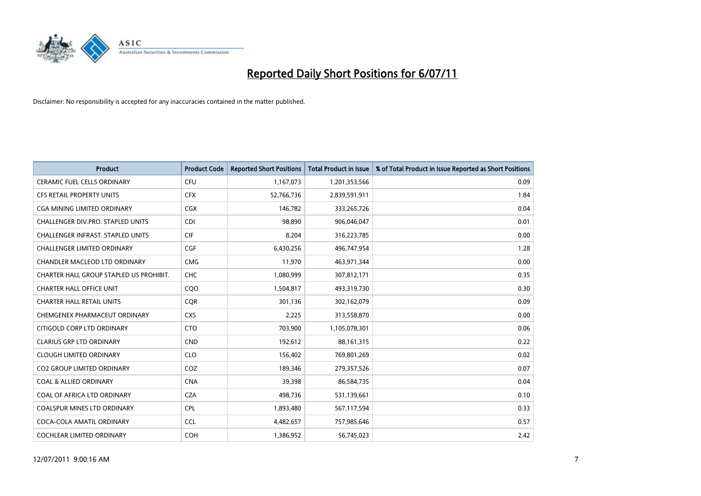

| <b>Product</b>                           | <b>Product Code</b> | <b>Reported Short Positions</b> | <b>Total Product in Issue</b> | % of Total Product in Issue Reported as Short Positions |
|------------------------------------------|---------------------|---------------------------------|-------------------------------|---------------------------------------------------------|
| <b>CERAMIC FUEL CELLS ORDINARY</b>       | CFU                 | 1,167,073                       | 1,201,353,566                 | 0.09                                                    |
| <b>CFS RETAIL PROPERTY UNITS</b>         | <b>CFX</b>          | 52,766,736                      | 2,839,591,911                 | 1.84                                                    |
| <b>CGA MINING LIMITED ORDINARY</b>       | CGX                 | 146,782                         | 333,265,726                   | 0.04                                                    |
| CHALLENGER DIV.PRO. STAPLED UNITS        | <b>CDI</b>          | 98,890                          | 906,046,047                   | 0.01                                                    |
| <b>CHALLENGER INFRAST, STAPLED UNITS</b> | <b>CIF</b>          | 8,204                           | 316,223,785                   | 0.00                                                    |
| <b>CHALLENGER LIMITED ORDINARY</b>       | CGF                 | 6,430,256                       | 496,747,954                   | 1.28                                                    |
| <b>CHANDLER MACLEOD LTD ORDINARY</b>     | <b>CMG</b>          | 11,970                          | 463,971,344                   | 0.00                                                    |
| CHARTER HALL GROUP STAPLED US PROHIBIT.  | <b>CHC</b>          | 1,080,999                       | 307,812,171                   | 0.35                                                    |
| <b>CHARTER HALL OFFICE UNIT</b>          | CQO                 | 1,504,817                       | 493,319,730                   | 0.30                                                    |
| <b>CHARTER HALL RETAIL UNITS</b>         | <b>COR</b>          | 301,136                         | 302,162,079                   | 0.09                                                    |
| CHEMGENEX PHARMACEUT ORDINARY            | <b>CXS</b>          | 2,225                           | 313,558,870                   | 0.00                                                    |
| CITIGOLD CORP LTD ORDINARY               | <b>CTO</b>          | 703,900                         | 1,105,078,301                 | 0.06                                                    |
| <b>CLARIUS GRP LTD ORDINARY</b>          | <b>CND</b>          | 192,612                         | 88,161,315                    | 0.22                                                    |
| <b>CLOUGH LIMITED ORDINARY</b>           | <b>CLO</b>          | 156,402                         | 769,801,269                   | 0.02                                                    |
| CO2 GROUP LIMITED ORDINARY               | COZ                 | 189,346                         | 279,357,526                   | 0.07                                                    |
| <b>COAL &amp; ALLIED ORDINARY</b>        | <b>CNA</b>          | 39,398                          | 86,584,735                    | 0.04                                                    |
| COAL OF AFRICA LTD ORDINARY              | <b>CZA</b>          | 498,736                         | 531,139,661                   | 0.10                                                    |
| COALSPUR MINES LTD ORDINARY              | <b>CPL</b>          | 1,893,480                       | 567,117,594                   | 0.33                                                    |
| COCA-COLA AMATIL ORDINARY                | <b>CCL</b>          | 4,482,657                       | 757,985,646                   | 0.57                                                    |
| <b>COCHLEAR LIMITED ORDINARY</b>         | COH                 | 1,386,952                       | 56,745,023                    | 2.42                                                    |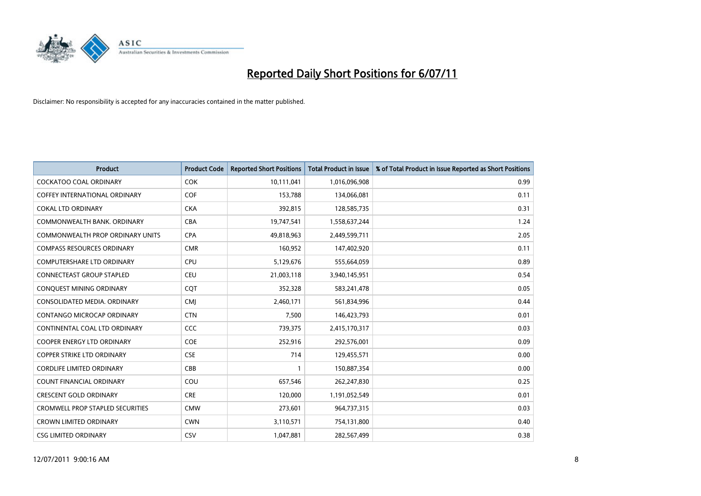

| <b>Product</b>                          | <b>Product Code</b> | <b>Reported Short Positions</b> | <b>Total Product in Issue</b> | % of Total Product in Issue Reported as Short Positions |
|-----------------------------------------|---------------------|---------------------------------|-------------------------------|---------------------------------------------------------|
| <b>COCKATOO COAL ORDINARY</b>           | <b>COK</b>          | 10,111,041                      | 1,016,096,908                 | 0.99                                                    |
| <b>COFFEY INTERNATIONAL ORDINARY</b>    | COF                 | 153,788                         | 134,066,081                   | 0.11                                                    |
| <b>COKAL LTD ORDINARY</b>               | <b>CKA</b>          | 392,815                         | 128,585,735                   | 0.31                                                    |
| COMMONWEALTH BANK, ORDINARY             | CBA                 | 19,747,541                      | 1,558,637,244                 | 1.24                                                    |
| <b>COMMONWEALTH PROP ORDINARY UNITS</b> | <b>CPA</b>          | 49,818,963                      | 2,449,599,711                 | 2.05                                                    |
| <b>COMPASS RESOURCES ORDINARY</b>       | <b>CMR</b>          | 160,952                         | 147,402,920                   | 0.11                                                    |
| <b>COMPUTERSHARE LTD ORDINARY</b>       | CPU                 | 5,129,676                       | 555,664,059                   | 0.89                                                    |
| <b>CONNECTEAST GROUP STAPLED</b>        | <b>CEU</b>          | 21,003,118                      | 3,940,145,951                 | 0.54                                                    |
| CONQUEST MINING ORDINARY                | CQT                 | 352,328                         | 583,241,478                   | 0.05                                                    |
| CONSOLIDATED MEDIA, ORDINARY            | <b>CMI</b>          | 2,460,171                       | 561,834,996                   | 0.44                                                    |
| CONTANGO MICROCAP ORDINARY              | <b>CTN</b>          | 7,500                           | 146,423,793                   | 0.01                                                    |
| CONTINENTAL COAL LTD ORDINARY           | <b>CCC</b>          | 739,375                         | 2,415,170,317                 | 0.03                                                    |
| <b>COOPER ENERGY LTD ORDINARY</b>       | COE                 | 252,916                         | 292,576,001                   | 0.09                                                    |
| <b>COPPER STRIKE LTD ORDINARY</b>       | <b>CSE</b>          | 714                             | 129,455,571                   | 0.00                                                    |
| <b>CORDLIFE LIMITED ORDINARY</b>        | CBB                 |                                 | 150,887,354                   | 0.00                                                    |
| <b>COUNT FINANCIAL ORDINARY</b>         | COU                 | 657,546                         | 262,247,830                   | 0.25                                                    |
| <b>CRESCENT GOLD ORDINARY</b>           | <b>CRE</b>          | 120,000                         | 1,191,052,549                 | 0.01                                                    |
| <b>CROMWELL PROP STAPLED SECURITIES</b> | <b>CMW</b>          | 273,601                         | 964,737,315                   | 0.03                                                    |
| <b>CROWN LIMITED ORDINARY</b>           | <b>CWN</b>          | 3,110,571                       | 754,131,800                   | 0.40                                                    |
| <b>CSG LIMITED ORDINARY</b>             | CSV                 | 1.047.881                       | 282,567,499                   | 0.38                                                    |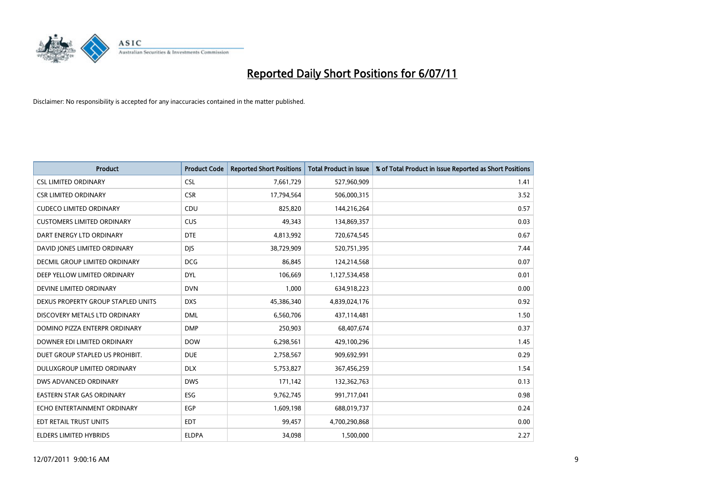

| <b>Product</b>                     | <b>Product Code</b> | <b>Reported Short Positions</b> | Total Product in Issue | % of Total Product in Issue Reported as Short Positions |
|------------------------------------|---------------------|---------------------------------|------------------------|---------------------------------------------------------|
| <b>CSL LIMITED ORDINARY</b>        | <b>CSL</b>          | 7,661,729                       | 527,960,909            | 1.41                                                    |
| <b>CSR LIMITED ORDINARY</b>        | <b>CSR</b>          | 17,794,564                      | 506,000,315            | 3.52                                                    |
| <b>CUDECO LIMITED ORDINARY</b>     | CDU                 | 825,820                         | 144,216,264            | 0.57                                                    |
| <b>CUSTOMERS LIMITED ORDINARY</b>  | CUS                 | 49,343                          | 134,869,357            | 0.03                                                    |
| DART ENERGY LTD ORDINARY           | <b>DTE</b>          | 4,813,992                       | 720,674,545            | 0.67                                                    |
| DAVID JONES LIMITED ORDINARY       | <b>DJS</b>          | 38,729,909                      | 520,751,395            | 7.44                                                    |
| DECMIL GROUP LIMITED ORDINARY      | <b>DCG</b>          | 86.845                          | 124,214,568            | 0.07                                                    |
| DEEP YELLOW LIMITED ORDINARY       | <b>DYL</b>          | 106,669                         | 1,127,534,458          | 0.01                                                    |
| DEVINE LIMITED ORDINARY            | <b>DVN</b>          | 1,000                           | 634,918,223            | 0.00                                                    |
| DEXUS PROPERTY GROUP STAPLED UNITS | <b>DXS</b>          | 45,386,340                      | 4,839,024,176          | 0.92                                                    |
| DISCOVERY METALS LTD ORDINARY      | <b>DML</b>          | 6,560,706                       | 437,114,481            | 1.50                                                    |
| DOMINO PIZZA ENTERPR ORDINARY      | <b>DMP</b>          | 250,903                         | 68,407,674             | 0.37                                                    |
| DOWNER EDI LIMITED ORDINARY        | <b>DOW</b>          | 6,298,561                       | 429,100,296            | 1.45                                                    |
| DUET GROUP STAPLED US PROHIBIT.    | <b>DUE</b>          | 2,758,567                       | 909,692,991            | 0.29                                                    |
| DULUXGROUP LIMITED ORDINARY        | <b>DLX</b>          | 5,753,827                       | 367,456,259            | 1.54                                                    |
| DWS ADVANCED ORDINARY              | <b>DWS</b>          | 171,142                         | 132,362,763            | 0.13                                                    |
| <b>EASTERN STAR GAS ORDINARY</b>   | <b>ESG</b>          | 9,762,745                       | 991,717,041            | 0.98                                                    |
| ECHO ENTERTAINMENT ORDINARY        | <b>EGP</b>          | 1,609,198                       | 688,019,737            | 0.24                                                    |
| EDT RETAIL TRUST UNITS             | <b>EDT</b>          | 99,457                          | 4,700,290,868          | 0.00                                                    |
| <b>ELDERS LIMITED HYBRIDS</b>      | <b>ELDPA</b>        | 34,098                          | 1,500,000              | 2.27                                                    |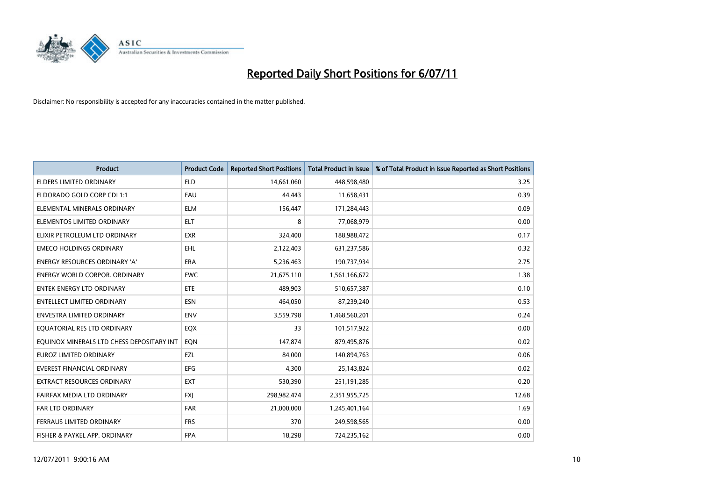

| <b>Product</b>                            | <b>Product Code</b> | <b>Reported Short Positions</b> | <b>Total Product in Issue</b> | % of Total Product in Issue Reported as Short Positions |
|-------------------------------------------|---------------------|---------------------------------|-------------------------------|---------------------------------------------------------|
| <b>ELDERS LIMITED ORDINARY</b>            | <b>ELD</b>          | 14,661,060                      | 448,598,480                   | 3.25                                                    |
| ELDORADO GOLD CORP CDI 1:1                | EAU                 | 44.443                          | 11,658,431                    | 0.39                                                    |
| ELEMENTAL MINERALS ORDINARY               | <b>ELM</b>          | 156,447                         | 171,284,443                   | 0.09                                                    |
| ELEMENTOS LIMITED ORDINARY                | <b>ELT</b>          | 8                               | 77,068,979                    | 0.00                                                    |
| ELIXIR PETROLEUM LTD ORDINARY             | <b>EXR</b>          | 324,400                         | 188,988,472                   | 0.17                                                    |
| <b>EMECO HOLDINGS ORDINARY</b>            | <b>EHL</b>          | 2,122,403                       | 631,237,586                   | 0.32                                                    |
| <b>ENERGY RESOURCES ORDINARY 'A'</b>      | <b>ERA</b>          | 5,236,463                       | 190,737,934                   | 2.75                                                    |
| <b>ENERGY WORLD CORPOR, ORDINARY</b>      | <b>EWC</b>          | 21,675,110                      | 1,561,166,672                 | 1.38                                                    |
| ENTEK ENERGY LTD ORDINARY                 | ETE                 | 489,903                         | 510,657,387                   | 0.10                                                    |
| <b>ENTELLECT LIMITED ORDINARY</b>         | <b>ESN</b>          | 464,050                         | 87,239,240                    | 0.53                                                    |
| <b>ENVESTRA LIMITED ORDINARY</b>          | <b>ENV</b>          | 3,559,798                       | 1,468,560,201                 | 0.24                                                    |
| EQUATORIAL RES LTD ORDINARY               | EQX                 | 33                              | 101,517,922                   | 0.00                                                    |
| EQUINOX MINERALS LTD CHESS DEPOSITARY INT | EQN                 | 147.874                         | 879,495,876                   | 0.02                                                    |
| <b>EUROZ LIMITED ORDINARY</b>             | EZL                 | 84.000                          | 140,894,763                   | 0.06                                                    |
| EVEREST FINANCIAL ORDINARY                | <b>EFG</b>          | 4,300                           | 25,143,824                    | 0.02                                                    |
| <b>EXTRACT RESOURCES ORDINARY</b>         | <b>EXT</b>          | 530,390                         | 251,191,285                   | 0.20                                                    |
| FAIRFAX MEDIA LTD ORDINARY                | <b>FXI</b>          | 298,982,474                     | 2,351,955,725                 | 12.68                                                   |
| <b>FAR LTD ORDINARY</b>                   | <b>FAR</b>          | 21,000,000                      | 1,245,401,164                 | 1.69                                                    |
| FERRAUS LIMITED ORDINARY                  | <b>FRS</b>          | 370                             | 249,598,565                   | 0.00                                                    |
| FISHER & PAYKEL APP. ORDINARY             | <b>FPA</b>          | 18,298                          | 724,235,162                   | 0.00                                                    |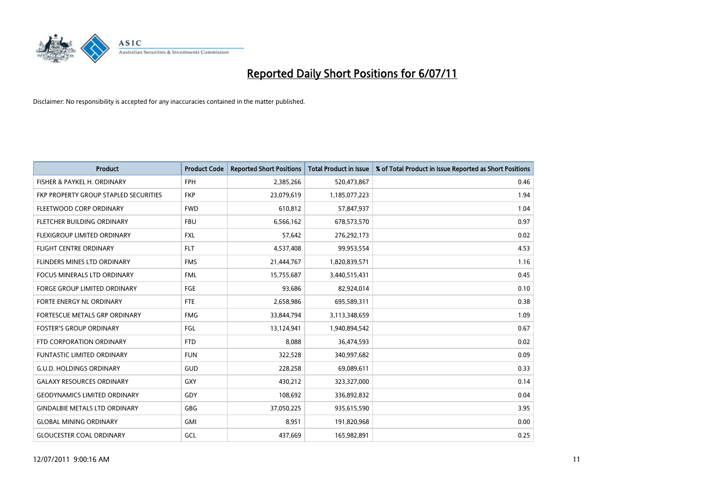

| <b>Product</b>                        | <b>Product Code</b> | <b>Reported Short Positions</b> | <b>Total Product in Issue</b> | % of Total Product in Issue Reported as Short Positions |
|---------------------------------------|---------------------|---------------------------------|-------------------------------|---------------------------------------------------------|
| FISHER & PAYKEL H. ORDINARY           | <b>FPH</b>          | 2,385,266                       | 520,473,867                   | 0.46                                                    |
| FKP PROPERTY GROUP STAPLED SECURITIES | <b>FKP</b>          | 23,079,619                      | 1,185,077,223                 | 1.94                                                    |
| FLEETWOOD CORP ORDINARY               | <b>FWD</b>          | 610,812                         | 57,847,937                    | 1.04                                                    |
| FLETCHER BUILDING ORDINARY            | <b>FBU</b>          | 6,566,162                       | 678,573,570                   | 0.97                                                    |
| FLEXIGROUP LIMITED ORDINARY           | <b>FXL</b>          | 57,642                          | 276,292,173                   | 0.02                                                    |
| <b>FLIGHT CENTRE ORDINARY</b>         | <b>FLT</b>          | 4,537,408                       | 99,953,554                    | 4.53                                                    |
| FLINDERS MINES LTD ORDINARY           | <b>FMS</b>          | 21,444,767                      | 1,820,839,571                 | 1.16                                                    |
| <b>FOCUS MINERALS LTD ORDINARY</b>    | <b>FML</b>          | 15,755,687                      | 3,440,515,431                 | 0.45                                                    |
| <b>FORGE GROUP LIMITED ORDINARY</b>   | FGE                 | 93,686                          | 82,924,014                    | 0.10                                                    |
| FORTE ENERGY NL ORDINARY              | <b>FTE</b>          | 2,658,986                       | 695,589,311                   | 0.38                                                    |
| FORTESCUE METALS GRP ORDINARY         | <b>FMG</b>          | 33,844,794                      | 3,113,348,659                 | 1.09                                                    |
| <b>FOSTER'S GROUP ORDINARY</b>        | FGL                 | 13,124,941                      | 1,940,894,542                 | 0.67                                                    |
| FTD CORPORATION ORDINARY              | <b>FTD</b>          | 8,088                           | 36,474,593                    | 0.02                                                    |
| <b>FUNTASTIC LIMITED ORDINARY</b>     | <b>FUN</b>          | 322,528                         | 340,997,682                   | 0.09                                                    |
| <b>G.U.D. HOLDINGS ORDINARY</b>       | <b>GUD</b>          | 228,258                         | 69,089,611                    | 0.33                                                    |
| <b>GALAXY RESOURCES ORDINARY</b>      | <b>GXY</b>          | 430,212                         | 323,327,000                   | 0.14                                                    |
| <b>GEODYNAMICS LIMITED ORDINARY</b>   | GDY                 | 108,692                         | 336,892,832                   | 0.04                                                    |
| <b>GINDALBIE METALS LTD ORDINARY</b>  | <b>GBG</b>          | 37,050,225                      | 935,615,590                   | 3.95                                                    |
| <b>GLOBAL MINING ORDINARY</b>         | <b>GMI</b>          | 8,951                           | 191,820,968                   | 0.00                                                    |
| <b>GLOUCESTER COAL ORDINARY</b>       | GCL                 | 437.669                         | 165,982,891                   | 0.25                                                    |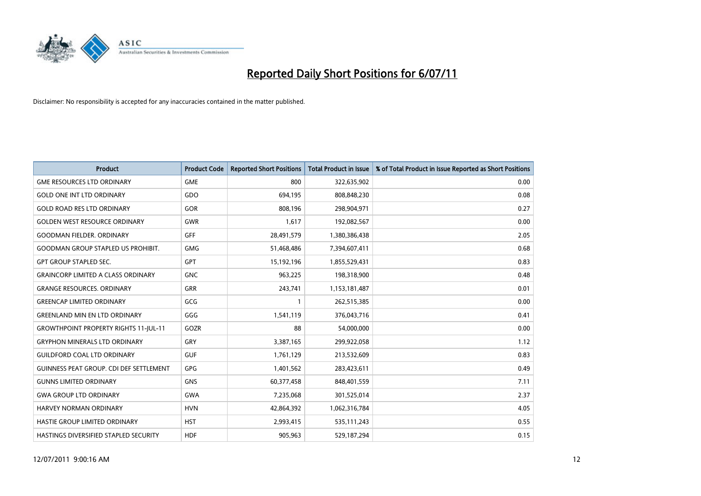

| <b>Product</b>                                 | <b>Product Code</b> | <b>Reported Short Positions</b> | <b>Total Product in Issue</b> | % of Total Product in Issue Reported as Short Positions |
|------------------------------------------------|---------------------|---------------------------------|-------------------------------|---------------------------------------------------------|
| <b>GME RESOURCES LTD ORDINARY</b>              | <b>GME</b>          | 800                             | 322,635,902                   | 0.00                                                    |
| <b>GOLD ONE INT LTD ORDINARY</b>               | GDO                 | 694,195                         | 808,848,230                   | 0.08                                                    |
| <b>GOLD ROAD RES LTD ORDINARY</b>              | GOR                 | 808.196                         | 298,904,971                   | 0.27                                                    |
| <b>GOLDEN WEST RESOURCE ORDINARY</b>           | <b>GWR</b>          | 1,617                           | 192,082,567                   | 0.00                                                    |
| <b>GOODMAN FIELDER, ORDINARY</b>               | <b>GFF</b>          | 28,491,579                      | 1,380,386,438                 | 2.05                                                    |
| <b>GOODMAN GROUP STAPLED US PROHIBIT.</b>      | <b>GMG</b>          | 51,468,486                      | 7,394,607,411                 | 0.68                                                    |
| <b>GPT GROUP STAPLED SEC.</b>                  | <b>GPT</b>          | 15,192,196                      | 1,855,529,431                 | 0.83                                                    |
| <b>GRAINCORP LIMITED A CLASS ORDINARY</b>      | <b>GNC</b>          | 963,225                         | 198,318,900                   | 0.48                                                    |
| <b>GRANGE RESOURCES, ORDINARY</b>              | <b>GRR</b>          | 243,741                         | 1,153,181,487                 | 0.01                                                    |
| <b>GREENCAP LIMITED ORDINARY</b>               | GCG                 |                                 | 262,515,385                   | 0.00                                                    |
| <b>GREENLAND MIN EN LTD ORDINARY</b>           | GGG                 | 1,541,119                       | 376,043,716                   | 0.41                                                    |
| <b>GROWTHPOINT PROPERTY RIGHTS 11-JUL-11</b>   | GOZR                | 88                              | 54,000,000                    | 0.00                                                    |
| <b>GRYPHON MINERALS LTD ORDINARY</b>           | GRY                 | 3,387,165                       | 299,922,058                   | 1.12                                                    |
| <b>GUILDFORD COAL LTD ORDINARY</b>             | <b>GUF</b>          | 1,761,129                       | 213,532,609                   | 0.83                                                    |
| <b>GUINNESS PEAT GROUP. CDI DEF SETTLEMENT</b> | GPG                 | 1,401,562                       | 283,423,611                   | 0.49                                                    |
| <b>GUNNS LIMITED ORDINARY</b>                  | <b>GNS</b>          | 60,377,458                      | 848,401,559                   | 7.11                                                    |
| <b>GWA GROUP LTD ORDINARY</b>                  | <b>GWA</b>          | 7,235,068                       | 301,525,014                   | 2.37                                                    |
| HARVEY NORMAN ORDINARY                         | <b>HVN</b>          | 42,864,392                      | 1,062,316,784                 | 4.05                                                    |
| HASTIE GROUP LIMITED ORDINARY                  | <b>HST</b>          | 2,993,415                       | 535,111,243                   | 0.55                                                    |
| HASTINGS DIVERSIFIED STAPLED SECURITY          | <b>HDF</b>          | 905,963                         | 529,187,294                   | 0.15                                                    |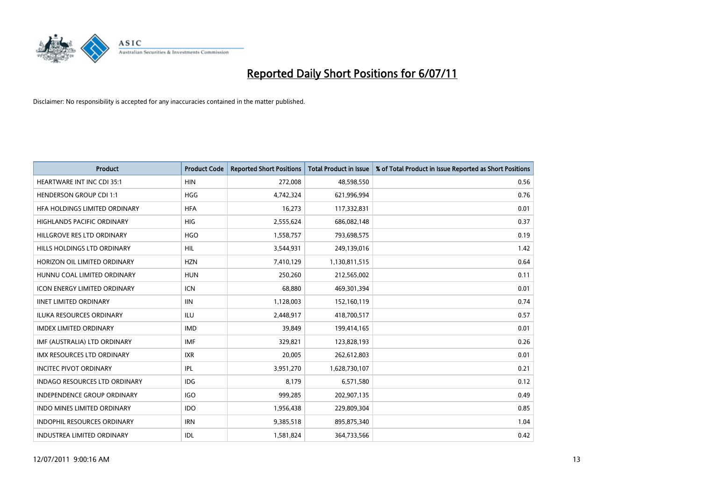

| <b>Product</b>                       | <b>Product Code</b> | <b>Reported Short Positions</b> | Total Product in Issue | % of Total Product in Issue Reported as Short Positions |
|--------------------------------------|---------------------|---------------------------------|------------------------|---------------------------------------------------------|
| <b>HEARTWARE INT INC CDI 35:1</b>    | <b>HIN</b>          | 272,008                         | 48,598,550             | 0.56                                                    |
| <b>HENDERSON GROUP CDI 1:1</b>       | <b>HGG</b>          | 4,742,324                       | 621,996,994            | 0.76                                                    |
| HFA HOLDINGS LIMITED ORDINARY        | <b>HFA</b>          | 16,273                          | 117,332,831            | 0.01                                                    |
| HIGHLANDS PACIFIC ORDINARY           | HIG                 | 2,555,624                       | 686,082,148            | 0.37                                                    |
| HILLGROVE RES LTD ORDINARY           | <b>HGO</b>          | 1,558,757                       | 793,698,575            | 0.19                                                    |
| HILLS HOLDINGS LTD ORDINARY          | <b>HIL</b>          | 3,544,931                       | 249,139,016            | 1.42                                                    |
| HORIZON OIL LIMITED ORDINARY         | <b>HZN</b>          | 7,410,129                       | 1,130,811,515          | 0.64                                                    |
| HUNNU COAL LIMITED ORDINARY          | <b>HUN</b>          | 250,260                         | 212,565,002            | 0.11                                                    |
| ICON ENERGY LIMITED ORDINARY         | <b>ICN</b>          | 68,880                          | 469,301,394            | 0.01                                                    |
| <b>IINET LIMITED ORDINARY</b>        | <b>IIN</b>          | 1,128,003                       | 152,160,119            | 0.74                                                    |
| ILUKA RESOURCES ORDINARY             | <b>ILU</b>          | 2,448,917                       | 418,700,517            | 0.57                                                    |
| <b>IMDEX LIMITED ORDINARY</b>        | <b>IMD</b>          | 39,849                          | 199,414,165            | 0.01                                                    |
| IMF (AUSTRALIA) LTD ORDINARY         | <b>IMF</b>          | 329,821                         | 123,828,193            | 0.26                                                    |
| <b>IMX RESOURCES LTD ORDINARY</b>    | <b>IXR</b>          | 20,005                          | 262,612,803            | 0.01                                                    |
| <b>INCITEC PIVOT ORDINARY</b>        | IPL                 | 3,951,270                       | 1,628,730,107          | 0.21                                                    |
| <b>INDAGO RESOURCES LTD ORDINARY</b> | <b>IDG</b>          | 8,179                           | 6,571,580              | 0.12                                                    |
| <b>INDEPENDENCE GROUP ORDINARY</b>   | <b>IGO</b>          | 999,285                         | 202,907,135            | 0.49                                                    |
| INDO MINES LIMITED ORDINARY          | <b>IDO</b>          | 1,956,438                       | 229,809,304            | 0.85                                                    |
| <b>INDOPHIL RESOURCES ORDINARY</b>   | <b>IRN</b>          | 9,385,518                       | 895,875,340            | 1.04                                                    |
| <b>INDUSTREA LIMITED ORDINARY</b>    | <b>IDL</b>          | 1,581,824                       | 364,733,566            | 0.42                                                    |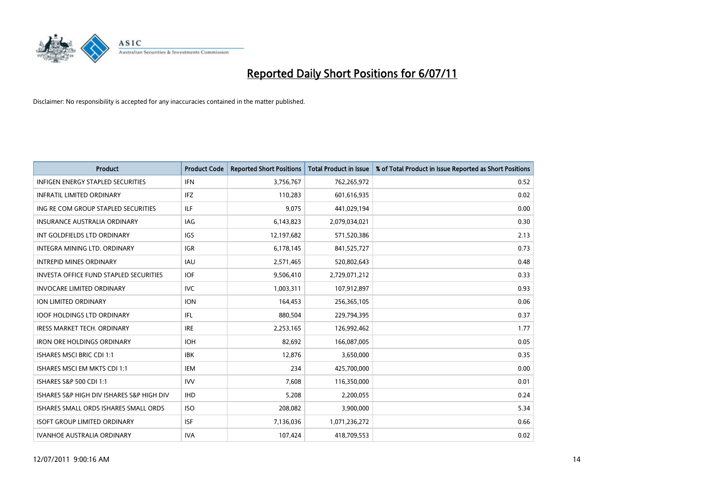

| <b>Product</b>                                | <b>Product Code</b> | <b>Reported Short Positions</b> | Total Product in Issue | % of Total Product in Issue Reported as Short Positions |
|-----------------------------------------------|---------------------|---------------------------------|------------------------|---------------------------------------------------------|
| <b>INFIGEN ENERGY STAPLED SECURITIES</b>      | <b>IFN</b>          | 3,756,767                       | 762,265,972            | 0.52                                                    |
| <b>INFRATIL LIMITED ORDINARY</b>              | IFZ                 | 110,283                         | 601,616,935            | 0.02                                                    |
| ING RE COM GROUP STAPLED SECURITIES           | <b>ILF</b>          | 9,075                           | 441,029,194            | 0.00                                                    |
| INSURANCE AUSTRALIA ORDINARY                  | IAG                 | 6,143,823                       | 2,079,034,021          | 0.30                                                    |
| INT GOLDFIELDS LTD ORDINARY                   | <b>IGS</b>          | 12,197,682                      | 571,520,386            | 2.13                                                    |
| INTEGRA MINING LTD, ORDINARY                  | <b>IGR</b>          | 6,178,145                       | 841,525,727            | 0.73                                                    |
| <b>INTREPID MINES ORDINARY</b>                | <b>IAU</b>          | 2,571,465                       | 520,802,643            | 0.48                                                    |
| <b>INVESTA OFFICE FUND STAPLED SECURITIES</b> | <b>IOF</b>          | 9,506,410                       | 2,729,071,212          | 0.33                                                    |
| <b>INVOCARE LIMITED ORDINARY</b>              | <b>IVC</b>          | 1,003,311                       | 107,912,897            | 0.93                                                    |
| ION LIMITED ORDINARY                          | <b>ION</b>          | 164,453                         | 256,365,105            | 0.06                                                    |
| <b>IOOF HOLDINGS LTD ORDINARY</b>             | IFL.                | 880,504                         | 229,794,395            | 0.37                                                    |
| <b>IRESS MARKET TECH. ORDINARY</b>            | <b>IRE</b>          | 2,253,165                       | 126,992,462            | 1.77                                                    |
| <b>IRON ORE HOLDINGS ORDINARY</b>             | <b>IOH</b>          | 82.692                          | 166,087,005            | 0.05                                                    |
| <b>ISHARES MSCI BRIC CDI 1:1</b>              | <b>IBK</b>          | 12,876                          | 3,650,000              | 0.35                                                    |
| <b>ISHARES MSCI EM MKTS CDI 1:1</b>           | <b>IEM</b>          | 234                             | 425,700,000            | 0.00                                                    |
| ISHARES S&P 500 CDI 1:1                       | <b>IVV</b>          | 7,608                           | 116,350,000            | 0.01                                                    |
| ISHARES S&P HIGH DIV ISHARES S&P HIGH DIV     | <b>IHD</b>          | 5,208                           | 2,200,055              | 0.24                                                    |
| ISHARES SMALL ORDS ISHARES SMALL ORDS         | <b>ISO</b>          | 208,082                         | 3,900,000              | 5.34                                                    |
| <b>ISOFT GROUP LIMITED ORDINARY</b>           | <b>ISF</b>          | 7,136,036                       | 1,071,236,272          | 0.66                                                    |
| <b>IVANHOE AUSTRALIA ORDINARY</b>             | <b>IVA</b>          | 107,424                         | 418,709,553            | 0.02                                                    |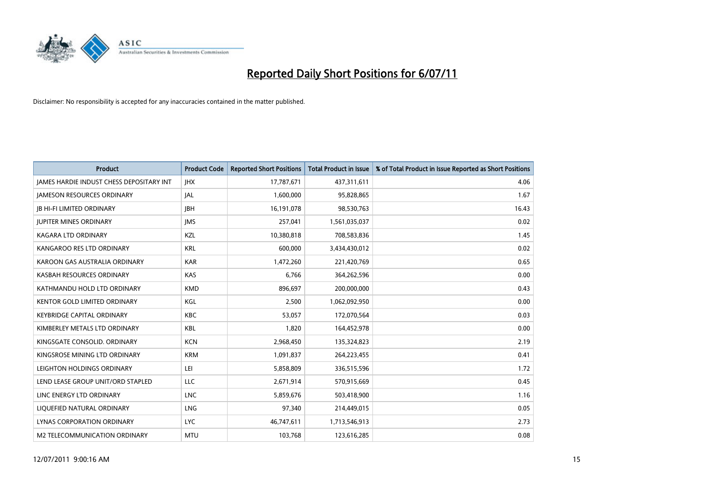

| <b>Product</b>                                  | <b>Product Code</b> | <b>Reported Short Positions</b> | Total Product in Issue | % of Total Product in Issue Reported as Short Positions |
|-------------------------------------------------|---------------------|---------------------------------|------------------------|---------------------------------------------------------|
| <b>JAMES HARDIE INDUST CHESS DEPOSITARY INT</b> | <b>JHX</b>          | 17,787,671                      | 437,311,611            | 4.06                                                    |
| <b>JAMESON RESOURCES ORDINARY</b>               | <b>JAL</b>          | 1,600,000                       | 95,828,865             | 1.67                                                    |
| <b>JB HI-FI LIMITED ORDINARY</b>                | <b>IBH</b>          | 16,191,078                      | 98,530,763             | 16.43                                                   |
| <b>JUPITER MINES ORDINARY</b>                   | <b>IMS</b>          | 257,041                         | 1,561,035,037          | 0.02                                                    |
| <b>KAGARA LTD ORDINARY</b>                      | KZL                 | 10,380,818                      | 708,583,836            | 1.45                                                    |
| KANGAROO RES LTD ORDINARY                       | <b>KRL</b>          | 600,000                         | 3,434,430,012          | 0.02                                                    |
| KAROON GAS AUSTRALIA ORDINARY                   | <b>KAR</b>          | 1,472,260                       | 221,420,769            | 0.65                                                    |
| KASBAH RESOURCES ORDINARY                       | <b>KAS</b>          | 6,766                           | 364,262,596            | 0.00                                                    |
| KATHMANDU HOLD LTD ORDINARY                     | <b>KMD</b>          | 896,697                         | 200,000,000            | 0.43                                                    |
| <b>KENTOR GOLD LIMITED ORDINARY</b>             | KGL                 | 2,500                           | 1,062,092,950          | 0.00                                                    |
| <b>KEYBRIDGE CAPITAL ORDINARY</b>               | <b>KBC</b>          | 53,057                          | 172,070,564            | 0.03                                                    |
| KIMBERLEY METALS LTD ORDINARY                   | <b>KBL</b>          | 1,820                           | 164,452,978            | 0.00                                                    |
| KINGSGATE CONSOLID, ORDINARY                    | <b>KCN</b>          | 2,968,450                       | 135,324,823            | 2.19                                                    |
| KINGSROSE MINING LTD ORDINARY                   | <b>KRM</b>          | 1,091,837                       | 264,223,455            | 0.41                                                    |
| LEIGHTON HOLDINGS ORDINARY                      | LEI                 | 5,858,809                       | 336,515,596            | 1.72                                                    |
| LEND LEASE GROUP UNIT/ORD STAPLED               | LLC                 | 2,671,914                       | 570,915,669            | 0.45                                                    |
| LINC ENERGY LTD ORDINARY                        | <b>LNC</b>          | 5,859,676                       | 503,418,900            | 1.16                                                    |
| LIQUEFIED NATURAL ORDINARY                      | LNG                 | 97,340                          | 214,449,015            | 0.05                                                    |
| LYNAS CORPORATION ORDINARY                      | <b>LYC</b>          | 46,747,611                      | 1,713,546,913          | 2.73                                                    |
| M2 TELECOMMUNICATION ORDINARY                   | <b>MTU</b>          | 103,768                         | 123,616,285            | 0.08                                                    |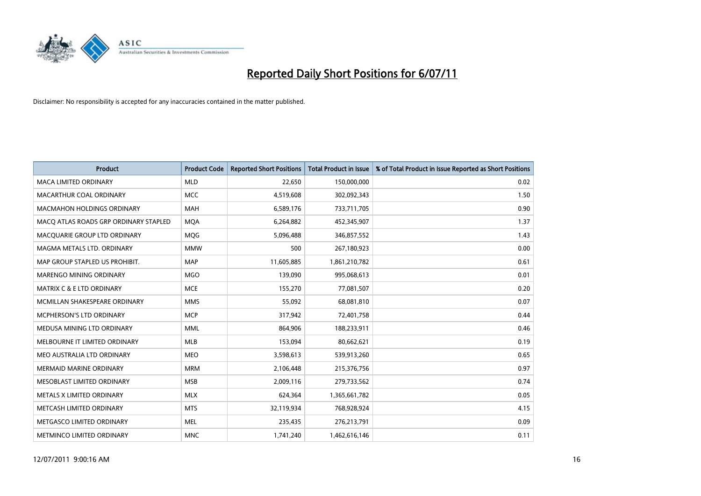

| <b>Product</b>                        | <b>Product Code</b> | <b>Reported Short Positions</b> | Total Product in Issue | % of Total Product in Issue Reported as Short Positions |
|---------------------------------------|---------------------|---------------------------------|------------------------|---------------------------------------------------------|
| <b>MACA LIMITED ORDINARY</b>          | <b>MLD</b>          | 22,650                          | 150,000,000            | 0.02                                                    |
| MACARTHUR COAL ORDINARY               | <b>MCC</b>          | 4,519,608                       | 302,092,343            | 1.50                                                    |
| <b>MACMAHON HOLDINGS ORDINARY</b>     | <b>MAH</b>          | 6,589,176                       | 733,711,705            | 0.90                                                    |
| MACO ATLAS ROADS GRP ORDINARY STAPLED | <b>MOA</b>          | 6,264,882                       | 452,345,907            | 1.37                                                    |
| MACOUARIE GROUP LTD ORDINARY          | <b>MOG</b>          | 5,096,488                       | 346,857,552            | 1.43                                                    |
| MAGMA METALS LTD. ORDINARY            | <b>MMW</b>          | 500                             | 267,180,923            | 0.00                                                    |
| MAP GROUP STAPLED US PROHIBIT.        | <b>MAP</b>          | 11,605,885                      | 1,861,210,782          | 0.61                                                    |
| MARENGO MINING ORDINARY               | <b>MGO</b>          | 139,090                         | 995,068,613            | 0.01                                                    |
| <b>MATRIX C &amp; E LTD ORDINARY</b>  | <b>MCE</b>          | 155,270                         | 77,081,507             | 0.20                                                    |
| MCMILLAN SHAKESPEARE ORDINARY         | <b>MMS</b>          | 55,092                          | 68,081,810             | 0.07                                                    |
| MCPHERSON'S LTD ORDINARY              | <b>MCP</b>          | 317,942                         | 72,401,758             | 0.44                                                    |
| MEDUSA MINING LTD ORDINARY            | MML                 | 864,906                         | 188,233,911            | 0.46                                                    |
| MELBOURNE IT LIMITED ORDINARY         | MLB                 | 153,094                         | 80,662,621             | 0.19                                                    |
| MEO AUSTRALIA LTD ORDINARY            | <b>MEO</b>          | 3,598,613                       | 539,913,260            | 0.65                                                    |
| <b>MERMAID MARINE ORDINARY</b>        | <b>MRM</b>          | 2,106,448                       | 215,376,756            | 0.97                                                    |
| MESOBLAST LIMITED ORDINARY            | <b>MSB</b>          | 2,009,116                       | 279,733,562            | 0.74                                                    |
| METALS X LIMITED ORDINARY             | <b>MLX</b>          | 624,364                         | 1,365,661,782          | 0.05                                                    |
| METCASH LIMITED ORDINARY              | <b>MTS</b>          | 32,119,934                      | 768,928,924            | 4.15                                                    |
| METGASCO LIMITED ORDINARY             | <b>MEL</b>          | 235,435                         | 276,213,791            | 0.09                                                    |
| <b>METMINCO LIMITED ORDINARY</b>      | <b>MNC</b>          | 1,741,240                       | 1,462,616,146          | 0.11                                                    |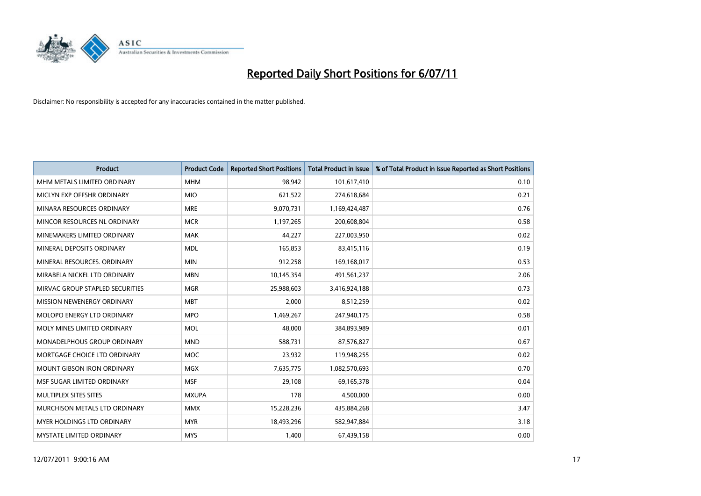

| <b>Product</b>                    | <b>Product Code</b> | <b>Reported Short Positions</b> | Total Product in Issue | % of Total Product in Issue Reported as Short Positions |
|-----------------------------------|---------------------|---------------------------------|------------------------|---------------------------------------------------------|
| MHM METALS LIMITED ORDINARY       | <b>MHM</b>          | 98,942                          | 101,617,410            | 0.10                                                    |
| MICLYN EXP OFFSHR ORDINARY        | <b>MIO</b>          | 621,522                         | 274,618,684            | 0.21                                                    |
| MINARA RESOURCES ORDINARY         | <b>MRE</b>          | 9,070,731                       | 1,169,424,487          | 0.76                                                    |
| MINCOR RESOURCES NL ORDINARY      | <b>MCR</b>          | 1,197,265                       | 200,608,804            | 0.58                                                    |
| MINEMAKERS LIMITED ORDINARY       | <b>MAK</b>          | 44,227                          | 227,003,950            | 0.02                                                    |
| MINERAL DEPOSITS ORDINARY         | <b>MDL</b>          | 165,853                         | 83,415,116             | 0.19                                                    |
| MINERAL RESOURCES, ORDINARY       | <b>MIN</b>          | 912,258                         | 169,168,017            | 0.53                                                    |
| MIRABELA NICKEL LTD ORDINARY      | <b>MBN</b>          | 10,145,354                      | 491,561,237            | 2.06                                                    |
| MIRVAC GROUP STAPLED SECURITIES   | <b>MGR</b>          | 25,988,603                      | 3,416,924,188          | 0.73                                                    |
| MISSION NEWENERGY ORDINARY        | <b>MBT</b>          | 2,000                           | 8,512,259              | 0.02                                                    |
| MOLOPO ENERGY LTD ORDINARY        | <b>MPO</b>          | 1,469,267                       | 247,940,175            | 0.58                                                    |
| MOLY MINES LIMITED ORDINARY       | <b>MOL</b>          | 48,000                          | 384,893,989            | 0.01                                                    |
| MONADELPHOUS GROUP ORDINARY       | <b>MND</b>          | 588,731                         | 87,576,827             | 0.67                                                    |
| MORTGAGE CHOICE LTD ORDINARY      | <b>MOC</b>          | 23,932                          | 119,948,255            | 0.02                                                    |
| <b>MOUNT GIBSON IRON ORDINARY</b> | <b>MGX</b>          | 7,635,775                       | 1,082,570,693          | 0.70                                                    |
| MSF SUGAR LIMITED ORDINARY        | <b>MSF</b>          | 29,108                          | 69,165,378             | 0.04                                                    |
| MULTIPLEX SITES SITES             | <b>MXUPA</b>        | 178                             | 4,500,000              | 0.00                                                    |
| MURCHISON METALS LTD ORDINARY     | <b>MMX</b>          | 15,228,236                      | 435,884,268            | 3.47                                                    |
| <b>MYER HOLDINGS LTD ORDINARY</b> | <b>MYR</b>          | 18,493,296                      | 582,947,884            | 3.18                                                    |
| MYSTATE LIMITED ORDINARY          | <b>MYS</b>          | 1,400                           | 67,439,158             | 0.00                                                    |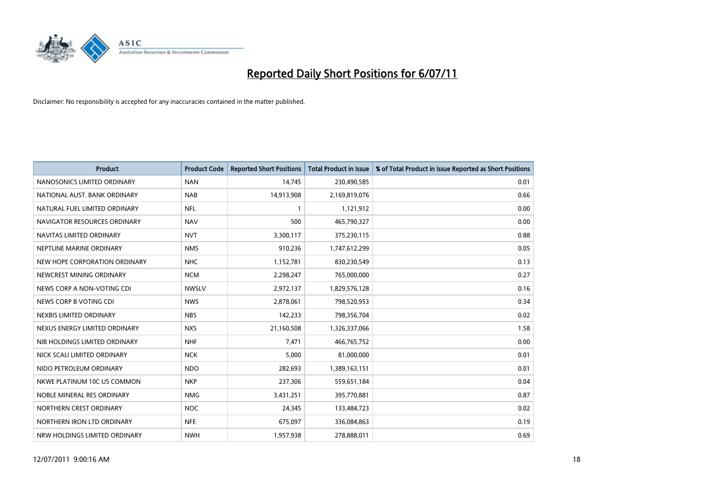

| <b>Product</b>                | <b>Product Code</b> | <b>Reported Short Positions</b> | <b>Total Product in Issue</b> | % of Total Product in Issue Reported as Short Positions |
|-------------------------------|---------------------|---------------------------------|-------------------------------|---------------------------------------------------------|
| NANOSONICS LIMITED ORDINARY   | <b>NAN</b>          | 14,745                          | 230,490,585                   | 0.01                                                    |
| NATIONAL AUST. BANK ORDINARY  | <b>NAB</b>          | 14,913,908                      | 2,169,819,076                 | 0.66                                                    |
| NATURAL FUEL LIMITED ORDINARY | <b>NFL</b>          |                                 | 1,121,912                     | 0.00                                                    |
| NAVIGATOR RESOURCES ORDINARY  | <b>NAV</b>          | 500                             | 465,790,327                   | 0.00                                                    |
| NAVITAS LIMITED ORDINARY      | <b>NVT</b>          | 3,300,117                       | 375,230,115                   | 0.88                                                    |
| NEPTUNE MARINE ORDINARY       | <b>NMS</b>          | 910,236                         | 1,747,612,299                 | 0.05                                                    |
| NEW HOPE CORPORATION ORDINARY | <b>NHC</b>          | 1,152,781                       | 830,230,549                   | 0.13                                                    |
| NEWCREST MINING ORDINARY      | <b>NCM</b>          | 2,298,247                       | 765,000,000                   | 0.27                                                    |
| NEWS CORP A NON-VOTING CDI    | <b>NWSLV</b>        | 2,972,137                       | 1,829,576,128                 | 0.16                                                    |
| NEWS CORP B VOTING CDI        | <b>NWS</b>          | 2,878,061                       | 798,520,953                   | 0.34                                                    |
| NEXBIS LIMITED ORDINARY       | <b>NBS</b>          | 142,233                         | 798,356,704                   | 0.02                                                    |
| NEXUS ENERGY LIMITED ORDINARY | <b>NXS</b>          | 21,160,508                      | 1,326,337,066                 | 1.58                                                    |
| NIB HOLDINGS LIMITED ORDINARY | <b>NHF</b>          | 7,471                           | 466,765,752                   | 0.00                                                    |
| NICK SCALI LIMITED ORDINARY   | <b>NCK</b>          | 5,000                           | 81,000,000                    | 0.01                                                    |
| NIDO PETROLEUM ORDINARY       | <b>NDO</b>          | 282,693                         | 1,389,163,151                 | 0.01                                                    |
| NKWE PLATINUM 10C US COMMON   | <b>NKP</b>          | 237,306                         | 559,651,184                   | 0.04                                                    |
| NOBLE MINERAL RES ORDINARY    | <b>NMG</b>          | 3,431,251                       | 395,770,881                   | 0.87                                                    |
| NORTHERN CREST ORDINARY       | <b>NOC</b>          | 24,345                          | 133,484,723                   | 0.02                                                    |
| NORTHERN IRON LTD ORDINARY    | <b>NFE</b>          | 675,097                         | 336,084,863                   | 0.19                                                    |
| NRW HOLDINGS LIMITED ORDINARY | <b>NWH</b>          | 1,957,938                       | 278,888,011                   | 0.69                                                    |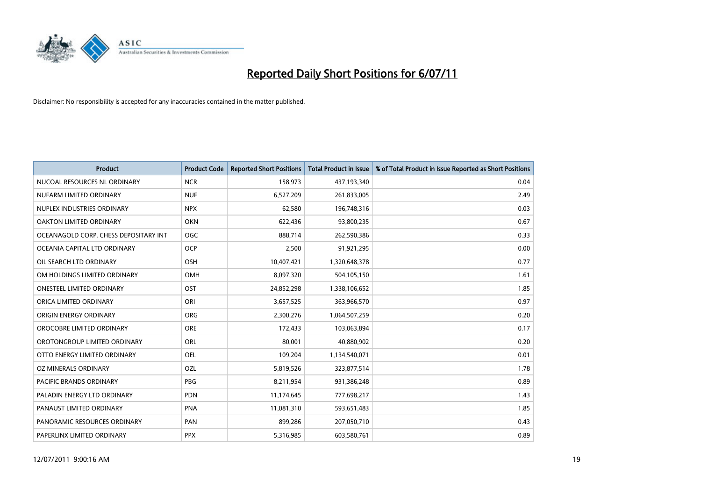

| <b>Product</b>                        | <b>Product Code</b> | <b>Reported Short Positions</b> | <b>Total Product in Issue</b> | % of Total Product in Issue Reported as Short Positions |
|---------------------------------------|---------------------|---------------------------------|-------------------------------|---------------------------------------------------------|
| NUCOAL RESOURCES NL ORDINARY          | <b>NCR</b>          | 158,973                         | 437,193,340                   | 0.04                                                    |
| NUFARM LIMITED ORDINARY               | <b>NUF</b>          | 6,527,209                       | 261,833,005                   | 2.49                                                    |
| NUPLEX INDUSTRIES ORDINARY            | <b>NPX</b>          | 62,580                          | 196,748,316                   | 0.03                                                    |
| OAKTON LIMITED ORDINARY               | <b>OKN</b>          | 622,436                         | 93,800,235                    | 0.67                                                    |
| OCEANAGOLD CORP. CHESS DEPOSITARY INT | <b>OGC</b>          | 888,714                         | 262,590,386                   | 0.33                                                    |
| OCEANIA CAPITAL LTD ORDINARY          | <b>OCP</b>          | 2,500                           | 91,921,295                    | 0.00                                                    |
| OIL SEARCH LTD ORDINARY               | OSH                 | 10,407,421                      | 1,320,648,378                 | 0.77                                                    |
| OM HOLDINGS LIMITED ORDINARY          | <b>OMH</b>          | 8,097,320                       | 504,105,150                   | 1.61                                                    |
| <b>ONESTEEL LIMITED ORDINARY</b>      | OST                 | 24,852,298                      | 1,338,106,652                 | 1.85                                                    |
| ORICA LIMITED ORDINARY                | ORI                 | 3,657,525                       | 363,966,570                   | 0.97                                                    |
| ORIGIN ENERGY ORDINARY                | <b>ORG</b>          | 2,300,276                       | 1,064,507,259                 | 0.20                                                    |
| OROCOBRE LIMITED ORDINARY             | <b>ORE</b>          | 172,433                         | 103,063,894                   | 0.17                                                    |
| OROTONGROUP LIMITED ORDINARY          | ORL                 | 80,001                          | 40,880,902                    | 0.20                                                    |
| OTTO ENERGY LIMITED ORDINARY          | OEL                 | 109,204                         | 1,134,540,071                 | 0.01                                                    |
| OZ MINERALS ORDINARY                  | OZL                 | 5,819,526                       | 323,877,514                   | 1.78                                                    |
| <b>PACIFIC BRANDS ORDINARY</b>        | <b>PBG</b>          | 8,211,954                       | 931,386,248                   | 0.89                                                    |
| PALADIN ENERGY LTD ORDINARY           | PDN                 | 11,174,645                      | 777,698,217                   | 1.43                                                    |
| PANAUST LIMITED ORDINARY              | <b>PNA</b>          | 11,081,310                      | 593,651,483                   | 1.85                                                    |
| PANORAMIC RESOURCES ORDINARY          | PAN                 | 899,286                         | 207,050,710                   | 0.43                                                    |
| PAPERLINX LIMITED ORDINARY            | <b>PPX</b>          | 5,316,985                       | 603,580,761                   | 0.89                                                    |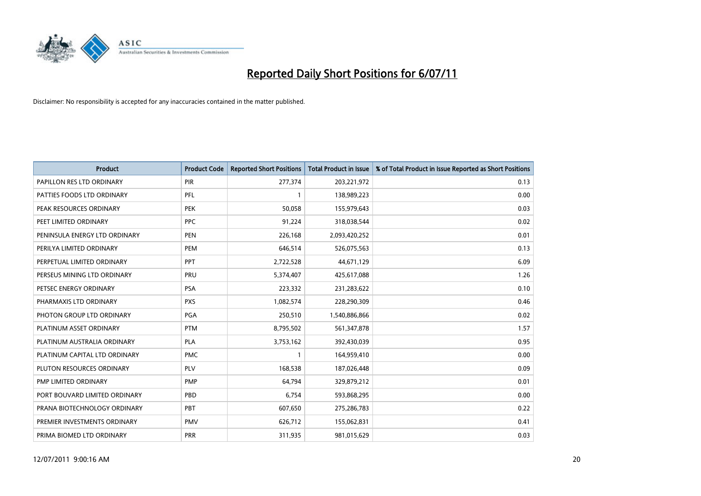

| Product                       | <b>Product Code</b> | <b>Reported Short Positions</b> | Total Product in Issue | % of Total Product in Issue Reported as Short Positions |
|-------------------------------|---------------------|---------------------------------|------------------------|---------------------------------------------------------|
| PAPILLON RES LTD ORDINARY     | PIR                 | 277,374                         | 203,221,972            | 0.13                                                    |
| PATTIES FOODS LTD ORDINARY    | PFL                 |                                 | 138,989,223            | 0.00                                                    |
| PEAK RESOURCES ORDINARY       | <b>PEK</b>          | 50,058                          | 155,979,643            | 0.03                                                    |
| PEET LIMITED ORDINARY         | PPC                 | 91,224                          | 318,038,544            | 0.02                                                    |
| PENINSULA ENERGY LTD ORDINARY | <b>PEN</b>          | 226,168                         | 2,093,420,252          | 0.01                                                    |
| PERILYA LIMITED ORDINARY      | PEM                 | 646,514                         | 526,075,563            | 0.13                                                    |
| PERPETUAL LIMITED ORDINARY    | PPT                 | 2,722,528                       | 44,671,129             | 6.09                                                    |
| PERSEUS MINING LTD ORDINARY   | PRU                 | 5,374,407                       | 425,617,088            | 1.26                                                    |
| PETSEC ENERGY ORDINARY        | <b>PSA</b>          | 223,332                         | 231,283,622            | 0.10                                                    |
| PHARMAXIS LTD ORDINARY        | <b>PXS</b>          | 1,082,574                       | 228,290,309            | 0.46                                                    |
| PHOTON GROUP LTD ORDINARY     | <b>PGA</b>          | 250,510                         | 1,540,886,866          | 0.02                                                    |
| PLATINUM ASSET ORDINARY       | <b>PTM</b>          | 8,795,502                       | 561,347,878            | 1.57                                                    |
| PLATINUM AUSTRALIA ORDINARY   | <b>PLA</b>          | 3,753,162                       | 392,430,039            | 0.95                                                    |
| PLATINUM CAPITAL LTD ORDINARY | <b>PMC</b>          |                                 | 164,959,410            | 0.00                                                    |
| PLUTON RESOURCES ORDINARY     | PLV                 | 168,538                         | 187,026,448            | 0.09                                                    |
| PMP LIMITED ORDINARY          | <b>PMP</b>          | 64,794                          | 329,879,212            | 0.01                                                    |
| PORT BOUVARD LIMITED ORDINARY | PBD                 | 6,754                           | 593,868,295            | 0.00                                                    |
| PRANA BIOTECHNOLOGY ORDINARY  | PBT                 | 607,650                         | 275,286,783            | 0.22                                                    |
| PREMIER INVESTMENTS ORDINARY  | <b>PMV</b>          | 626,712                         | 155,062,831            | 0.41                                                    |
| PRIMA BIOMED LTD ORDINARY     | <b>PRR</b>          | 311,935                         | 981,015,629            | 0.03                                                    |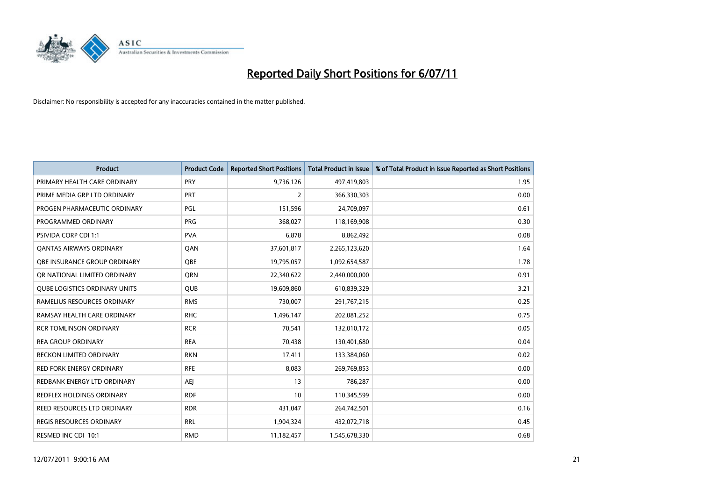

| <b>Product</b>                       | <b>Product Code</b> | <b>Reported Short Positions</b> | Total Product in Issue | % of Total Product in Issue Reported as Short Positions |
|--------------------------------------|---------------------|---------------------------------|------------------------|---------------------------------------------------------|
| PRIMARY HEALTH CARE ORDINARY         | PRY                 | 9,736,126                       | 497,419,803            | 1.95                                                    |
| PRIME MEDIA GRP LTD ORDINARY         | PRT                 | 2                               | 366,330,303            | 0.00                                                    |
| PROGEN PHARMACEUTIC ORDINARY         | PGL                 | 151,596                         | 24,709,097             | 0.61                                                    |
| PROGRAMMED ORDINARY                  | <b>PRG</b>          | 368,027                         | 118,169,908            | 0.30                                                    |
| <b>PSIVIDA CORP CDI 1:1</b>          | <b>PVA</b>          | 6,878                           | 8,862,492              | 0.08                                                    |
| <b>QANTAS AIRWAYS ORDINARY</b>       | QAN                 | 37,601,817                      | 2,265,123,620          | 1.64                                                    |
| OBE INSURANCE GROUP ORDINARY         | OBE                 | 19,795,057                      | 1,092,654,587          | 1.78                                                    |
| OR NATIONAL LIMITED ORDINARY         | <b>ORN</b>          | 22,340,622                      | 2,440,000,000          | 0.91                                                    |
| <b>QUBE LOGISTICS ORDINARY UNITS</b> | <b>QUB</b>          | 19,609,860                      | 610,839,329            | 3.21                                                    |
| RAMELIUS RESOURCES ORDINARY          | <b>RMS</b>          | 730,007                         | 291,767,215            | 0.25                                                    |
| RAMSAY HEALTH CARE ORDINARY          | <b>RHC</b>          | 1,496,147                       | 202,081,252            | 0.75                                                    |
| <b>RCR TOMLINSON ORDINARY</b>        | <b>RCR</b>          | 70,541                          | 132,010,172            | 0.05                                                    |
| <b>REA GROUP ORDINARY</b>            | <b>REA</b>          | 70,438                          | 130,401,680            | 0.04                                                    |
| <b>RECKON LIMITED ORDINARY</b>       | <b>RKN</b>          | 17,411                          | 133,384,060            | 0.02                                                    |
| <b>RED FORK ENERGY ORDINARY</b>      | <b>RFE</b>          | 8,083                           | 269,769,853            | 0.00                                                    |
| REDBANK ENERGY LTD ORDINARY          | <b>AEI</b>          | 13                              | 786,287                | 0.00                                                    |
| REDFLEX HOLDINGS ORDINARY            | <b>RDF</b>          | 10                              | 110,345,599            | 0.00                                                    |
| REED RESOURCES LTD ORDINARY          | <b>RDR</b>          | 431,047                         | 264,742,501            | 0.16                                                    |
| <b>REGIS RESOURCES ORDINARY</b>      | <b>RRL</b>          | 1,904,324                       | 432,072,718            | 0.45                                                    |
| RESMED INC CDI 10:1                  | <b>RMD</b>          | 11,182,457                      | 1,545,678,330          | 0.68                                                    |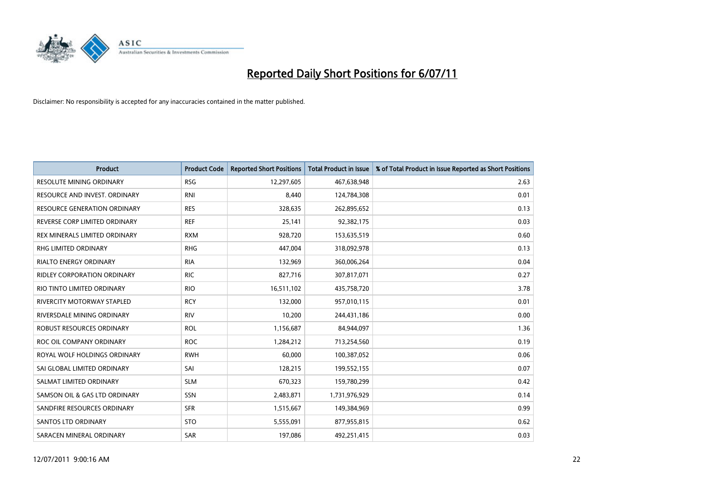

| <b>Product</b>                    | <b>Product Code</b> | <b>Reported Short Positions</b> | <b>Total Product in Issue</b> | % of Total Product in Issue Reported as Short Positions |
|-----------------------------------|---------------------|---------------------------------|-------------------------------|---------------------------------------------------------|
| <b>RESOLUTE MINING ORDINARY</b>   | <b>RSG</b>          | 12,297,605                      | 467,638,948                   | 2.63                                                    |
| RESOURCE AND INVEST. ORDINARY     | <b>RNI</b>          | 8,440                           | 124,784,308                   | 0.01                                                    |
| RESOURCE GENERATION ORDINARY      | <b>RES</b>          | 328,635                         | 262,895,652                   | 0.13                                                    |
| REVERSE CORP LIMITED ORDINARY     | <b>REF</b>          | 25,141                          | 92,382,175                    | 0.03                                                    |
| REX MINERALS LIMITED ORDINARY     | <b>RXM</b>          | 928,720                         | 153,635,519                   | 0.60                                                    |
| <b>RHG LIMITED ORDINARY</b>       | <b>RHG</b>          | 447,004                         | 318,092,978                   | 0.13                                                    |
| <b>RIALTO ENERGY ORDINARY</b>     | <b>RIA</b>          | 132,969                         | 360,006,264                   | 0.04                                                    |
| RIDLEY CORPORATION ORDINARY       | <b>RIC</b>          | 827,716                         | 307,817,071                   | 0.27                                                    |
| RIO TINTO LIMITED ORDINARY        | <b>RIO</b>          | 16,511,102                      | 435,758,720                   | 3.78                                                    |
| <b>RIVERCITY MOTORWAY STAPLED</b> | <b>RCY</b>          | 132,000                         | 957,010,115                   | 0.01                                                    |
| RIVERSDALE MINING ORDINARY        | <b>RIV</b>          | 10,200                          | 244,431,186                   | 0.00                                                    |
| ROBUST RESOURCES ORDINARY         | <b>ROL</b>          | 1,156,687                       | 84,944,097                    | 1.36                                                    |
| ROC OIL COMPANY ORDINARY          | <b>ROC</b>          | 1,284,212                       | 713,254,560                   | 0.19                                                    |
| ROYAL WOLF HOLDINGS ORDINARY      | <b>RWH</b>          | 60,000                          | 100,387,052                   | 0.06                                                    |
| SAI GLOBAL LIMITED ORDINARY       | SAI                 | 128,215                         | 199,552,155                   | 0.07                                                    |
| SALMAT LIMITED ORDINARY           | <b>SLM</b>          | 670,323                         | 159,780,299                   | 0.42                                                    |
| SAMSON OIL & GAS LTD ORDINARY     | SSN                 | 2,483,871                       | 1,731,976,929                 | 0.14                                                    |
| SANDFIRE RESOURCES ORDINARY       | <b>SFR</b>          | 1,515,667                       | 149,384,969                   | 0.99                                                    |
| <b>SANTOS LTD ORDINARY</b>        | <b>STO</b>          | 5,555,091                       | 877,955,815                   | 0.62                                                    |
| SARACEN MINERAL ORDINARY          | <b>SAR</b>          | 197,086                         | 492,251,415                   | 0.03                                                    |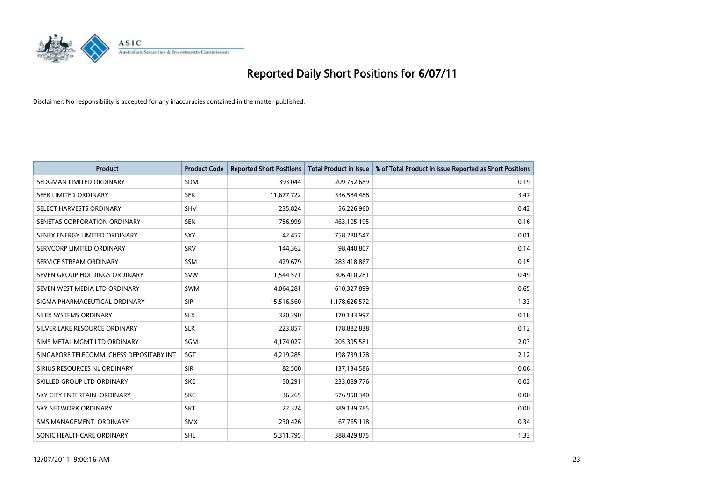

| <b>Product</b>                           | <b>Product Code</b> | <b>Reported Short Positions</b> | <b>Total Product in Issue</b> | % of Total Product in Issue Reported as Short Positions |
|------------------------------------------|---------------------|---------------------------------|-------------------------------|---------------------------------------------------------|
| SEDGMAN LIMITED ORDINARY                 | <b>SDM</b>          | 393,044                         | 209,752,689                   | 0.19                                                    |
| SEEK LIMITED ORDINARY                    | <b>SEK</b>          | 11,677,722                      | 336,584,488                   | 3.47                                                    |
| SELECT HARVESTS ORDINARY                 | SHV                 | 235,824                         | 56,226,960                    | 0.42                                                    |
| SENETAS CORPORATION ORDINARY             | <b>SEN</b>          | 756,999                         | 463,105,195                   | 0.16                                                    |
| SENEX ENERGY LIMITED ORDINARY            | SXY                 | 42.457                          | 758,280,547                   | 0.01                                                    |
| SERVCORP LIMITED ORDINARY                | SRV                 | 144,362                         | 98,440,807                    | 0.14                                                    |
| SERVICE STREAM ORDINARY                  | <b>SSM</b>          | 429.679                         | 283,418,867                   | 0.15                                                    |
| SEVEN GROUP HOLDINGS ORDINARY            | <b>SVW</b>          | 1,544,571                       | 306,410,281                   | 0.49                                                    |
| SEVEN WEST MEDIA LTD ORDINARY            | <b>SWM</b>          | 4,064,281                       | 610,327,899                   | 0.65                                                    |
| SIGMA PHARMACEUTICAL ORDINARY            | <b>SIP</b>          | 15,516,560                      | 1,178,626,572                 | 1.33                                                    |
| SILEX SYSTEMS ORDINARY                   | <b>SLX</b>          | 320,390                         | 170,133,997                   | 0.18                                                    |
| SILVER LAKE RESOURCE ORDINARY            | <b>SLR</b>          | 223,857                         | 178,882,838                   | 0.12                                                    |
| SIMS METAL MGMT LTD ORDINARY             | SGM                 | 4,174,027                       | 205,395,581                   | 2.03                                                    |
| SINGAPORE TELECOMM. CHESS DEPOSITARY INT | SGT                 | 4,219,285                       | 198,739,178                   | 2.12                                                    |
| SIRIUS RESOURCES NL ORDINARY             | <b>SIR</b>          | 82,500                          | 137,134,586                   | 0.06                                                    |
| SKILLED GROUP LTD ORDINARY               | <b>SKE</b>          | 50,291                          | 233,089,776                   | 0.02                                                    |
| SKY CITY ENTERTAIN, ORDINARY             | <b>SKC</b>          | 36,265                          | 576,958,340                   | 0.00                                                    |
| <b>SKY NETWORK ORDINARY</b>              | <b>SKT</b>          | 22,324                          | 389,139,785                   | 0.00                                                    |
| SMS MANAGEMENT, ORDINARY                 | <b>SMX</b>          | 230,426                         | 67,765,118                    | 0.34                                                    |
| SONIC HEALTHCARE ORDINARY                | <b>SHL</b>          | 5,311,795                       | 388,429,875                   | 1.33                                                    |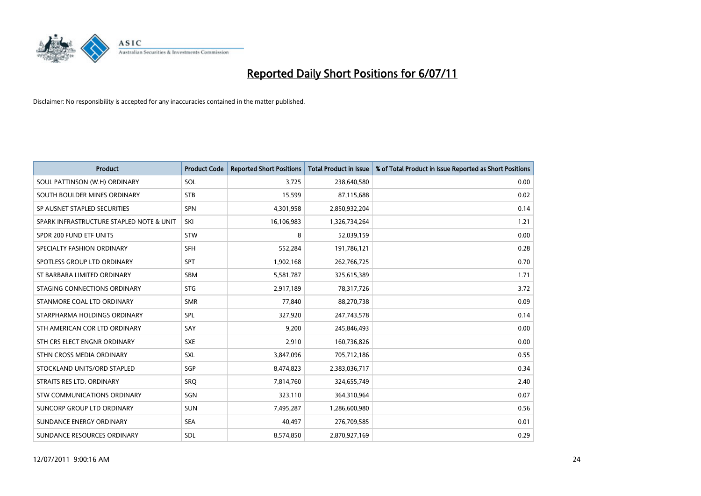

| <b>Product</b>                           | <b>Product Code</b> | <b>Reported Short Positions</b> | <b>Total Product in Issue</b> | % of Total Product in Issue Reported as Short Positions |
|------------------------------------------|---------------------|---------------------------------|-------------------------------|---------------------------------------------------------|
| SOUL PATTINSON (W.H) ORDINARY            | SOL                 | 3,725                           | 238,640,580                   | 0.00                                                    |
| SOUTH BOULDER MINES ORDINARY             | <b>STB</b>          | 15,599                          | 87,115,688                    | 0.02                                                    |
| SP AUSNET STAPLED SECURITIES             | SPN                 | 4,301,958                       | 2,850,932,204                 | 0.14                                                    |
| SPARK INFRASTRUCTURE STAPLED NOTE & UNIT | SKI                 | 16,106,983                      | 1,326,734,264                 | 1.21                                                    |
| SPDR 200 FUND ETF UNITS                  | STW                 | 8                               | 52,039,159                    | 0.00                                                    |
| SPECIALTY FASHION ORDINARY               | <b>SFH</b>          | 552,284                         | 191,786,121                   | 0.28                                                    |
| SPOTLESS GROUP LTD ORDINARY              | SPT                 | 1,902,168                       | 262,766,725                   | 0.70                                                    |
| ST BARBARA LIMITED ORDINARY              | <b>SBM</b>          | 5,581,787                       | 325,615,389                   | 1.71                                                    |
| STAGING CONNECTIONS ORDINARY             | <b>STG</b>          | 2,917,189                       | 78,317,726                    | 3.72                                                    |
| STANMORE COAL LTD ORDINARY               | <b>SMR</b>          | 77,840                          | 88,270,738                    | 0.09                                                    |
| STARPHARMA HOLDINGS ORDINARY             | SPL                 | 327,920                         | 247,743,578                   | 0.14                                                    |
| STH AMERICAN COR LTD ORDINARY            | SAY                 | 9,200                           | 245,846,493                   | 0.00                                                    |
| STH CRS ELECT ENGNR ORDINARY             | <b>SXE</b>          | 2,910                           | 160,736,826                   | 0.00                                                    |
| STHN CROSS MEDIA ORDINARY                | SXL                 | 3,847,096                       | 705,712,186                   | 0.55                                                    |
| STOCKLAND UNITS/ORD STAPLED              | SGP                 | 8,474,823                       | 2,383,036,717                 | 0.34                                                    |
| STRAITS RES LTD. ORDINARY                | SRO                 | 7,814,760                       | 324,655,749                   | 2.40                                                    |
| STW COMMUNICATIONS ORDINARY              | SGN                 | 323,110                         | 364,310,964                   | 0.07                                                    |
| SUNCORP GROUP LTD ORDINARY               | <b>SUN</b>          | 7,495,287                       | 1,286,600,980                 | 0.56                                                    |
| SUNDANCE ENERGY ORDINARY                 | <b>SEA</b>          | 40,497                          | 276,709,585                   | 0.01                                                    |
| SUNDANCE RESOURCES ORDINARY              | <b>SDL</b>          | 8,574,850                       | 2,870,927,169                 | 0.29                                                    |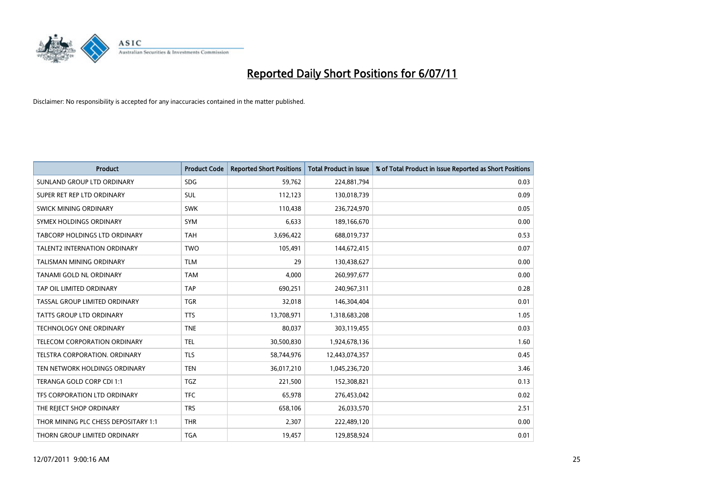

| <b>Product</b>                       | <b>Product Code</b> | <b>Reported Short Positions</b> | <b>Total Product in Issue</b> | % of Total Product in Issue Reported as Short Positions |
|--------------------------------------|---------------------|---------------------------------|-------------------------------|---------------------------------------------------------|
| SUNLAND GROUP LTD ORDINARY           | <b>SDG</b>          | 59,762                          | 224,881,794                   | 0.03                                                    |
| SUPER RET REP LTD ORDINARY           | SUL                 | 112,123                         | 130,018,739                   | 0.09                                                    |
| <b>SWICK MINING ORDINARY</b>         | <b>SWK</b>          | 110,438                         | 236,724,970                   | 0.05                                                    |
| SYMEX HOLDINGS ORDINARY              | <b>SYM</b>          | 6,633                           | 189,166,670                   | 0.00                                                    |
| <b>TABCORP HOLDINGS LTD ORDINARY</b> | <b>TAH</b>          | 3,696,422                       | 688,019,737                   | 0.53                                                    |
| <b>TALENT2 INTERNATION ORDINARY</b>  | <b>TWO</b>          | 105,491                         | 144,672,415                   | 0.07                                                    |
| TALISMAN MINING ORDINARY             | <b>TLM</b>          | 29                              | 130,438,627                   | 0.00                                                    |
| TANAMI GOLD NL ORDINARY              | <b>TAM</b>          | 4,000                           | 260,997,677                   | 0.00                                                    |
| TAP OIL LIMITED ORDINARY             | <b>TAP</b>          | 690,251                         | 240,967,311                   | 0.28                                                    |
| TASSAL GROUP LIMITED ORDINARY        | <b>TGR</b>          | 32,018                          | 146,304,404                   | 0.01                                                    |
| <b>TATTS GROUP LTD ORDINARY</b>      | <b>TTS</b>          | 13,708,971                      | 1,318,683,208                 | 1.05                                                    |
| TECHNOLOGY ONE ORDINARY              | <b>TNE</b>          | 80,037                          | 303,119,455                   | 0.03                                                    |
| <b>TELECOM CORPORATION ORDINARY</b>  | <b>TEL</b>          | 30,500,830                      | 1,924,678,136                 | 1.60                                                    |
| TELSTRA CORPORATION, ORDINARY        | <b>TLS</b>          | 58,744,976                      | 12,443,074,357                | 0.45                                                    |
| TEN NETWORK HOLDINGS ORDINARY        | <b>TEN</b>          | 36,017,210                      | 1,045,236,720                 | 3.46                                                    |
| TERANGA GOLD CORP CDI 1:1            | <b>TGZ</b>          | 221,500                         | 152,308,821                   | 0.13                                                    |
| TFS CORPORATION LTD ORDINARY         | <b>TFC</b>          | 65,978                          | 276,453,042                   | 0.02                                                    |
| THE REJECT SHOP ORDINARY             | <b>TRS</b>          | 658,106                         | 26,033,570                    | 2.51                                                    |
| THOR MINING PLC CHESS DEPOSITARY 1:1 | <b>THR</b>          | 2,307                           | 222,489,120                   | 0.00                                                    |
| THORN GROUP LIMITED ORDINARY         | <b>TGA</b>          | 19,457                          | 129,858,924                   | 0.01                                                    |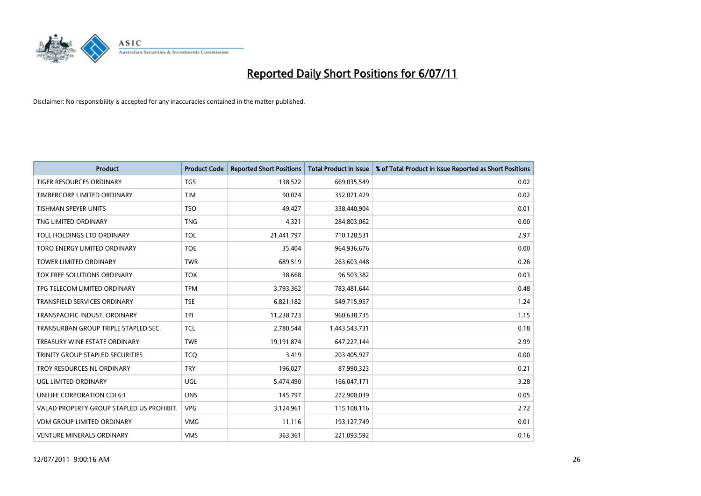

| <b>Product</b>                            | <b>Product Code</b> | <b>Reported Short Positions</b> | <b>Total Product in Issue</b> | % of Total Product in Issue Reported as Short Positions |
|-------------------------------------------|---------------------|---------------------------------|-------------------------------|---------------------------------------------------------|
| <b>TIGER RESOURCES ORDINARY</b>           | <b>TGS</b>          | 138,522                         | 669,035,549                   | 0.02                                                    |
| TIMBERCORP LIMITED ORDINARY               | <b>TIM</b>          | 90,074                          | 352,071,429                   | 0.02                                                    |
| <b>TISHMAN SPEYER UNITS</b>               | <b>TSO</b>          | 49,427                          | 338,440,904                   | 0.01                                                    |
| TNG LIMITED ORDINARY                      | <b>TNG</b>          | 4,321                           | 284,803,062                   | 0.00                                                    |
| TOLL HOLDINGS LTD ORDINARY                | <b>TOL</b>          | 21,441,797                      | 710,128,531                   | 2.97                                                    |
| TORO ENERGY LIMITED ORDINARY              | <b>TOE</b>          | 35.404                          | 964,936,676                   | 0.00                                                    |
| <b>TOWER LIMITED ORDINARY</b>             | <b>TWR</b>          | 689,519                         | 263,603,448                   | 0.26                                                    |
| TOX FREE SOLUTIONS ORDINARY               | <b>TOX</b>          | 38,668                          | 96,503,382                    | 0.03                                                    |
| TPG TELECOM LIMITED ORDINARY              | <b>TPM</b>          | 3,793,362                       | 783,481,644                   | 0.48                                                    |
| <b>TRANSFIELD SERVICES ORDINARY</b>       | <b>TSE</b>          | 6,821,182                       | 549,715,957                   | 1.24                                                    |
| TRANSPACIFIC INDUST, ORDINARY             | <b>TPI</b>          | 11,238,723                      | 960,638,735                   | 1.15                                                    |
| TRANSURBAN GROUP TRIPLE STAPLED SEC.      | <b>TCL</b>          | 2,780,544                       | 1,443,543,731                 | 0.18                                                    |
| TREASURY WINE ESTATE ORDINARY             | <b>TWE</b>          | 19,191,874                      | 647,227,144                   | 2.99                                                    |
| TRINITY GROUP STAPLED SECURITIES          | <b>TCO</b>          | 3,419                           | 203,405,927                   | 0.00                                                    |
| TROY RESOURCES NL ORDINARY                | <b>TRY</b>          | 196,027                         | 87,990,323                    | 0.21                                                    |
| UGL LIMITED ORDINARY                      | UGL                 | 5,474,490                       | 166,047,171                   | 3.28                                                    |
| UNILIFE CORPORATION CDI 6:1               | <b>UNS</b>          | 145,797                         | 272,900,039                   | 0.05                                                    |
| VALAD PROPERTY GROUP STAPLED US PROHIBIT. | <b>VPG</b>          | 3,124,961                       | 115,108,116                   | 2.72                                                    |
| <b>VDM GROUP LIMITED ORDINARY</b>         | <b>VMG</b>          | 11,116                          | 193,127,749                   | 0.01                                                    |
| VENTURE MINERALS ORDINARY                 | <b>VMS</b>          | 363,361                         | 221,093,592                   | 0.16                                                    |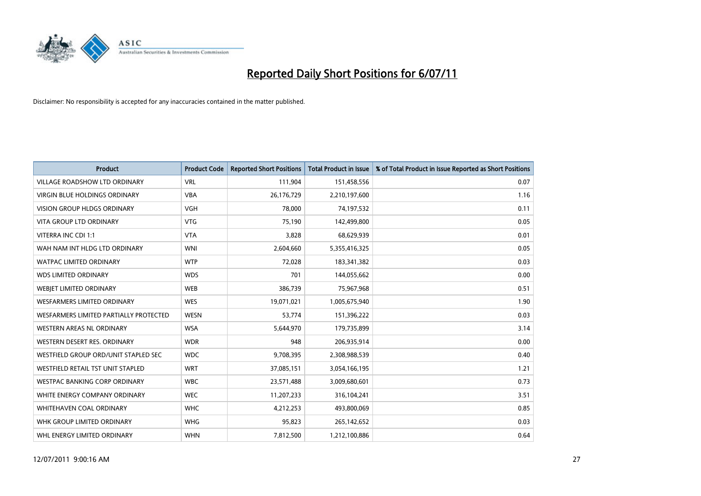

| <b>Product</b>                         | <b>Product Code</b> | <b>Reported Short Positions</b> | <b>Total Product in Issue</b> | % of Total Product in Issue Reported as Short Positions |
|----------------------------------------|---------------------|---------------------------------|-------------------------------|---------------------------------------------------------|
| <b>VILLAGE ROADSHOW LTD ORDINARY</b>   | <b>VRL</b>          | 111,904                         | 151,458,556                   | 0.07                                                    |
| VIRGIN BLUE HOLDINGS ORDINARY          | <b>VBA</b>          | 26,176,729                      | 2,210,197,600                 | 1.16                                                    |
| <b>VISION GROUP HLDGS ORDINARY</b>     | <b>VGH</b>          | 78,000                          | 74,197,532                    | 0.11                                                    |
| VITA GROUP LTD ORDINARY                | <b>VTG</b>          | 75,190                          | 142,499,800                   | 0.05                                                    |
| VITERRA INC CDI 1:1                    | <b>VTA</b>          | 3,828                           | 68,629,939                    | 0.01                                                    |
| WAH NAM INT HLDG LTD ORDINARY          | <b>WNI</b>          | 2,604,660                       | 5,355,416,325                 | 0.05                                                    |
| WATPAC LIMITED ORDINARY                | <b>WTP</b>          | 72,028                          | 183,341,382                   | 0.03                                                    |
| <b>WDS LIMITED ORDINARY</b>            | <b>WDS</b>          | 701                             | 144,055,662                   | 0.00                                                    |
| <b>WEBJET LIMITED ORDINARY</b>         | <b>WEB</b>          | 386,739                         | 75,967,968                    | 0.51                                                    |
| <b>WESFARMERS LIMITED ORDINARY</b>     | <b>WES</b>          | 19,071,021                      | 1,005,675,940                 | 1.90                                                    |
| WESFARMERS LIMITED PARTIALLY PROTECTED | <b>WESN</b>         | 53,774                          | 151,396,222                   | 0.03                                                    |
| WESTERN AREAS NL ORDINARY              | <b>WSA</b>          | 5,644,970                       | 179,735,899                   | 3.14                                                    |
| WESTERN DESERT RES. ORDINARY           | <b>WDR</b>          | 948                             | 206,935,914                   | 0.00                                                    |
| WESTFIELD GROUP ORD/UNIT STAPLED SEC   | <b>WDC</b>          | 9,708,395                       | 2,308,988,539                 | 0.40                                                    |
| WESTFIELD RETAIL TST UNIT STAPLED      | <b>WRT</b>          | 37,085,151                      | 3,054,166,195                 | 1.21                                                    |
| WESTPAC BANKING CORP ORDINARY          | <b>WBC</b>          | 23,571,488                      | 3,009,680,601                 | 0.73                                                    |
| WHITE ENERGY COMPANY ORDINARY          | <b>WEC</b>          | 11,207,233                      | 316,104,241                   | 3.51                                                    |
| WHITEHAVEN COAL ORDINARY               | <b>WHC</b>          | 4,212,253                       | 493,800,069                   | 0.85                                                    |
| WHK GROUP LIMITED ORDINARY             | <b>WHG</b>          | 95,823                          | 265,142,652                   | 0.03                                                    |
| WHL ENERGY LIMITED ORDINARY            | <b>WHN</b>          | 7,812,500                       | 1,212,100,886                 | 0.64                                                    |